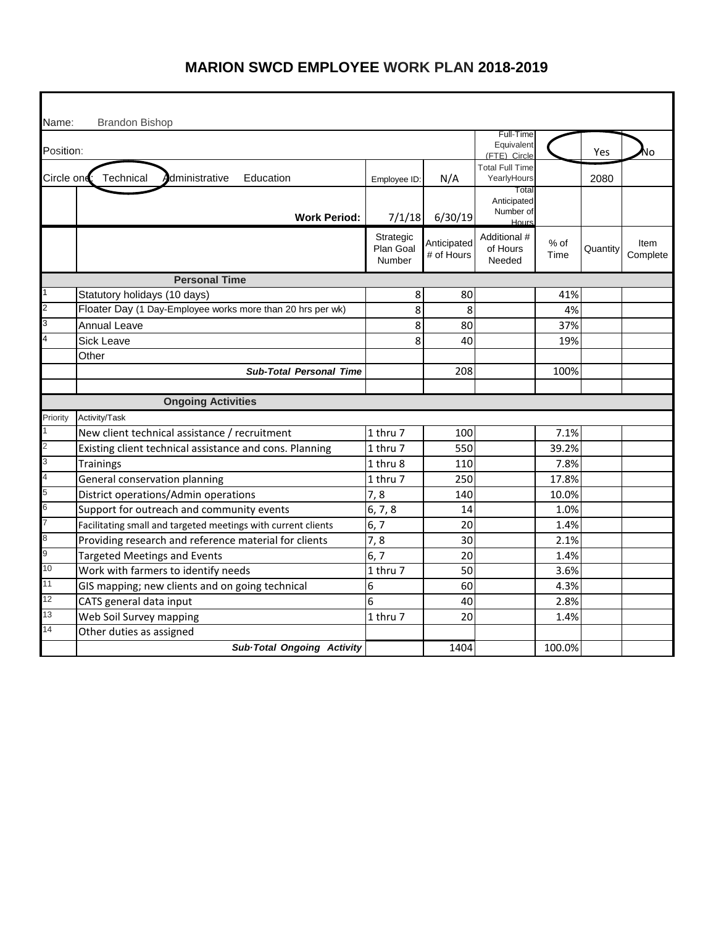| Name:          | <b>Brandon Bishop</b>                                         |                                         |                           | Full-Time                                  |                |          |                  |
|----------------|---------------------------------------------------------------|-----------------------------------------|---------------------------|--------------------------------------------|----------------|----------|------------------|
| Position:      |                                                               |                                         |                           | Equivalent<br>(FTE) Circle                 |                | Yes      | J٥               |
| Circle one     | Technical<br>dministrative<br>Education                       | Employee ID:                            | N/A                       | <b>Total Full Time</b><br>YearlyHours      |                | 2080     |                  |
|                | <b>Work Period:</b>                                           | 7/1/18                                  | 6/30/19                   | Total<br>Anticipated<br>Number of<br>Hours |                |          |                  |
|                |                                                               | Strategic<br>Plan Goal<br><b>Number</b> | Anticipated<br># of Hours | Additional #<br>of Hours<br>Needed         | $%$ of<br>Time | Quantity | Item<br>Complete |
|                | <b>Personal Time</b>                                          |                                         |                           |                                            |                |          |                  |
|                | Statutory holidays (10 days)                                  | 8                                       | 80                        |                                            | 41%            |          |                  |
| 2              | Floater Day (1 Day-Employee works more than 20 hrs per wk)    | 8                                       | 8                         |                                            | 4%             |          |                  |
| 3              | <b>Annual Leave</b>                                           | 8                                       | 80                        |                                            | 37%            |          |                  |
|                | <b>Sick Leave</b>                                             | 8                                       | 40                        |                                            | 19%            |          |                  |
|                | Other                                                         |                                         |                           |                                            |                |          |                  |
|                | <b>Sub-Total Personal Time</b>                                |                                         | 208                       |                                            | 100%           |          |                  |
|                |                                                               |                                         |                           |                                            |                |          |                  |
|                | <b>Ongoing Activities</b>                                     |                                         |                           |                                            |                |          |                  |
| Priority       | Activity/Task                                                 |                                         |                           |                                            |                |          |                  |
| 1              | New client technical assistance / recruitment                 | 1 thru 7                                | 100                       |                                            | 7.1%           |          |                  |
| $\overline{c}$ | Existing client technical assistance and cons. Planning       | 1 thru 7                                | 550                       |                                            | 39.2%          |          |                  |
| 3              | Trainings                                                     | 1 thru 8                                | 110                       |                                            | 7.8%           |          |                  |
| $\overline{4}$ | General conservation planning                                 | 1 thru 7                                | 250                       |                                            | 17.8%          |          |                  |
| 5              | District operations/Admin operations                          | 7,8                                     | 140                       |                                            | 10.0%          |          |                  |
| 6              | Support for outreach and community events                     | 6, 7, 8                                 | 14                        |                                            | 1.0%           |          |                  |
|                | Facilitating small and targeted meetings with current clients | 6, 7                                    | 20                        |                                            | 1.4%           |          |                  |
| 8              | Providing research and reference material for clients         | 7,8                                     | 30                        |                                            | 2.1%           |          |                  |
| 9              | <b>Targeted Meetings and Events</b>                           | 6, 7                                    | 20                        |                                            | 1.4%           |          |                  |
| 10             | Work with farmers to identify needs                           | 1 thru 7                                | 50                        |                                            | 3.6%           |          |                  |
| 11             | GIS mapping; new clients and on going technical               | 6                                       | 60                        |                                            | 4.3%           |          |                  |
| 12             | CATS general data input                                       | 6                                       | 40                        |                                            | 2.8%           |          |                  |
| 13             | Web Soil Survey mapping                                       | 1 thru 7                                | 20                        |                                            | 1.4%           |          |                  |
| 14             | Other duties as assigned                                      |                                         |                           |                                            |                |          |                  |
|                | Sub-Total Ongoing Activity                                    |                                         | 1404                      |                                            | 100.0%         |          |                  |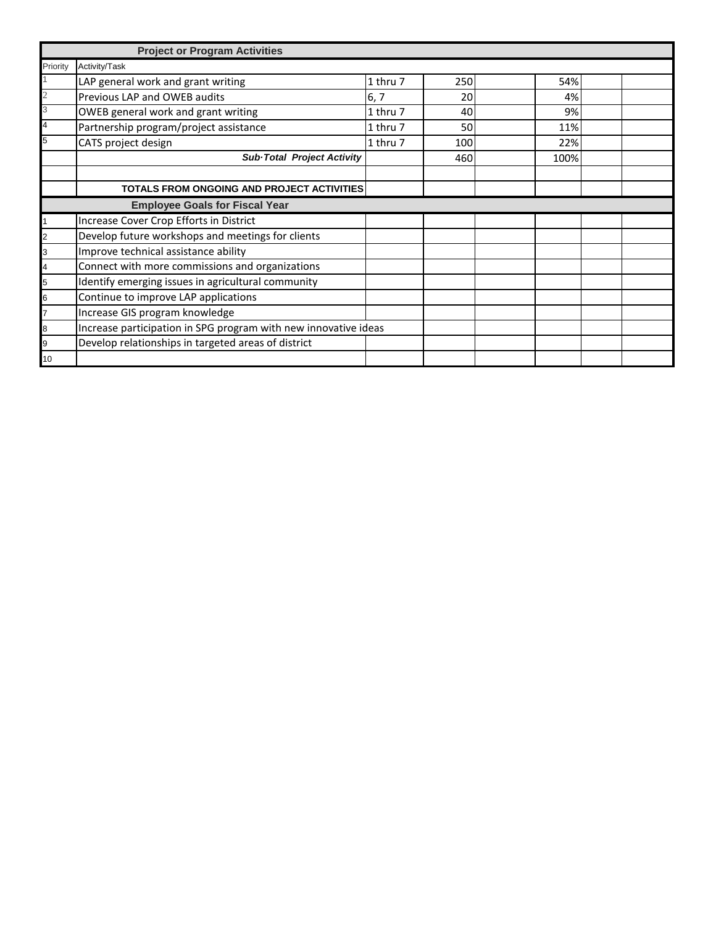|                | <b>Project or Program Activities</b>                            |          |     |      |  |
|----------------|-----------------------------------------------------------------|----------|-----|------|--|
| Priority       | Activity/Task                                                   |          |     |      |  |
|                | LAP general work and grant writing                              | 1 thru 7 | 250 | 54%  |  |
|                | Previous LAP and OWEB audits                                    | 6, 7     | 20  | 4%   |  |
| 3              | OWEB general work and grant writing                             | 1 thru 7 | 40  | 9%   |  |
| 4              | Partnership program/project assistance                          | 1 thru 7 | 50  | 11%  |  |
| 5              | CATS project design                                             | 1 thru 7 | 100 | 22%  |  |
|                | Sub-Total Project Activity                                      |          | 460 | 100% |  |
|                |                                                                 |          |     |      |  |
|                | TOTALS FROM ONGOING AND PROJECT ACTIVITIES                      |          |     |      |  |
|                | <b>Employee Goals for Fiscal Year</b>                           |          |     |      |  |
|                | Increase Cover Crop Efforts in District                         |          |     |      |  |
| $\overline{2}$ | Develop future workshops and meetings for clients               |          |     |      |  |
| 3              | Improve technical assistance ability                            |          |     |      |  |
| $\overline{a}$ | Connect with more commissions and organizations                 |          |     |      |  |
| 5              | Identify emerging issues in agricultural community              |          |     |      |  |
| 6              | Continue to improve LAP applications                            |          |     |      |  |
| 7              | Increase GIS program knowledge                                  |          |     |      |  |
| 8              | Increase participation in SPG program with new innovative ideas |          |     |      |  |
| 9              | Develop relationships in targeted areas of district             |          |     |      |  |
| 10             |                                                                 |          |     |      |  |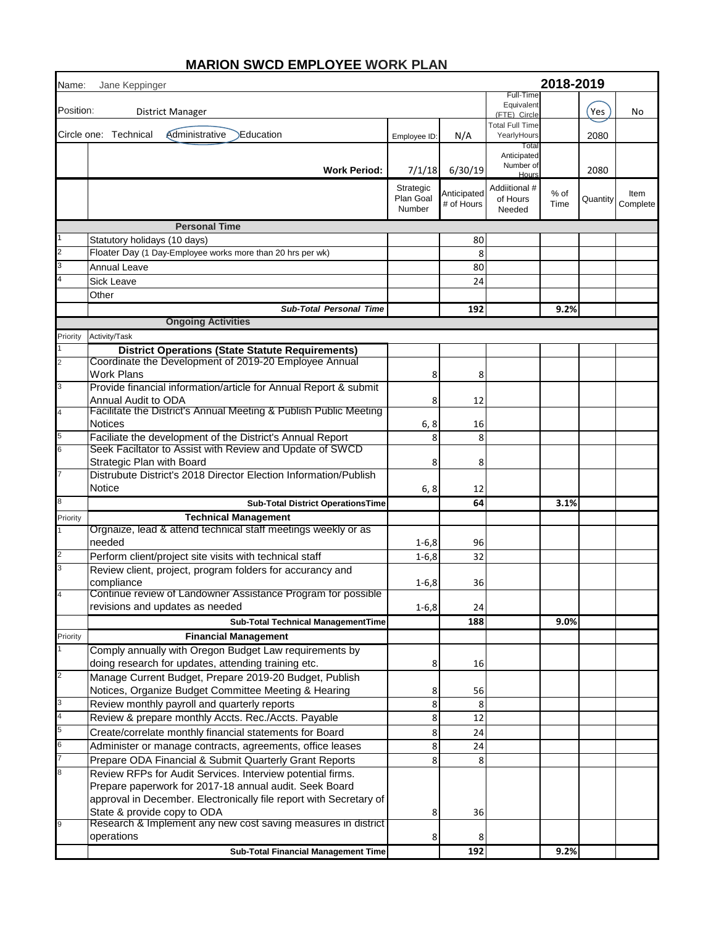| Name:          | 2018-2019<br>Jane Keppinger                                                                                         |                                  |                           |                                            |              |          |                  |
|----------------|---------------------------------------------------------------------------------------------------------------------|----------------------------------|---------------------------|--------------------------------------------|--------------|----------|------------------|
| Position:      | District Manager                                                                                                    |                                  |                           | Full-Time<br>Equivalent<br>(FTE) Circle    |              | Yes      | No               |
|                | Circle one: Technical<br>Administrative<br><b>Education</b>                                                         | Employee ID:                     | N/A                       | <b>Total Full Time</b><br>YearlyHours      |              | 2080     |                  |
|                | <b>Work Period:</b>                                                                                                 | 7/1/18                           | 6/30/19                   | Total<br>Anticipated<br>Number of<br>Hours |              | 2080     |                  |
|                |                                                                                                                     | Strategic<br>Plan Goal<br>Number | Anticipated<br># of Hours | Addiitional #<br>of Hours<br>Needed        | % of<br>Time | Quantity | Item<br>Complete |
|                | <b>Personal Time</b>                                                                                                |                                  |                           |                                            |              |          |                  |
|                | Statutory holidays (10 days)                                                                                        |                                  | 80                        |                                            |              |          |                  |
| $\overline{2}$ | Floater Day (1 Day-Employee works more than 20 hrs per wk)                                                          |                                  | 8                         |                                            |              |          |                  |
|                | Annual Leave                                                                                                        |                                  | 80                        |                                            |              |          |                  |
|                | Sick Leave                                                                                                          |                                  | 24                        |                                            |              |          |                  |
|                | Other                                                                                                               |                                  |                           |                                            |              |          |                  |
|                | <b>Sub-Total Personal Time</b>                                                                                      |                                  | 192                       |                                            | 9.2%         |          |                  |
|                | <b>Ongoing Activities</b>                                                                                           |                                  |                           |                                            |              |          |                  |
| Priority       | Activity/Task                                                                                                       |                                  |                           |                                            |              |          |                  |
|                | <b>District Operations (State Statute Requirements)</b><br>Coordinate the Development of 2019-20 Employee Annual    |                                  |                           |                                            |              |          |                  |
| 2              | <b>Work Plans</b>                                                                                                   | 8                                | 8                         |                                            |              |          |                  |
| 3              | Provide financial information/article for Annual Report & submit                                                    |                                  |                           |                                            |              |          |                  |
|                | Annual Audit to ODA                                                                                                 | 8                                | 12                        |                                            |              |          |                  |
| $\overline{4}$ | Facilitate the District's Annual Meeting & Publish Public Meeting                                                   |                                  |                           |                                            |              |          |                  |
|                | <b>Notices</b>                                                                                                      | 6, 8                             | 16                        |                                            |              |          |                  |
|                | Faciliate the development of the District's Annual Report                                                           | 8                                | 8                         |                                            |              |          |                  |
| 6              | Seek Faciltator to Assist with Review and Update of SWCD                                                            |                                  |                           |                                            |              |          |                  |
|                | Strategic Plan with Board<br>Distrubute District's 2018 Director Election Information/Publish                       | 8                                | 8                         |                                            |              |          |                  |
|                | Notice                                                                                                              | 6, 8                             | 12                        |                                            |              |          |                  |
| 8              | <b>Sub-Total District OperationsTime</b>                                                                            |                                  | 64                        |                                            | 3.1%         |          |                  |
| Priority       | <b>Technical Management</b>                                                                                         |                                  |                           |                                            |              |          |                  |
|                | Orgnaize, lead & attend technical staff meetings weekly or as                                                       |                                  |                           |                                            |              |          |                  |
|                | needed                                                                                                              | $1 - 6, 8$                       | 96                        |                                            |              |          |                  |
|                | Perform client/project site visits with technical staff                                                             | $1 - 6, 8$                       | 32                        |                                            |              |          |                  |
| 3              | Review client, project, program folders for accurancy and                                                           |                                  |                           |                                            |              |          |                  |
|                | compliance                                                                                                          | $1 - 6, 8$                       | 36                        |                                            |              |          |                  |
|                | Continue review of Landowner Assistance Program for possible                                                        |                                  |                           |                                            |              |          |                  |
|                | revisions and updates as needed                                                                                     | $1 - 6, 8$                       | 24                        |                                            |              |          |                  |
|                | Sub-Total Technical ManagementTime                                                                                  |                                  | 188                       |                                            | 9.0%         |          |                  |
| Priority       | <b>Financial Management</b>                                                                                         |                                  |                           |                                            |              |          |                  |
|                | Comply annually with Oregon Budget Law requirements by<br>doing research for updates, attending training etc.       | 8                                | 16                        |                                            |              |          |                  |
| $\overline{2}$ | Manage Current Budget, Prepare 2019-20 Budget, Publish                                                              |                                  |                           |                                            |              |          |                  |
| 3              | Notices, Organize Budget Committee Meeting & Hearing                                                                | 8                                | 56                        |                                            |              |          |                  |
|                | Review monthly payroll and quarterly reports                                                                        | 8                                | 8                         |                                            |              |          |                  |
| 5              | Review & prepare monthly Accts. Rec./Accts. Payable                                                                 | 8                                | 12                        |                                            |              |          |                  |
|                | Create/correlate monthly financial statements for Board                                                             | 8                                | 24                        |                                            |              |          |                  |
|                | Administer or manage contracts, agreements, office leases<br>Prepare ODA Financial & Submit Quarterly Grant Reports | 8<br>8                           | 24<br>8                   |                                            |              |          |                  |
|                | Review RFPs for Audit Services. Interview potential firms.                                                          |                                  |                           |                                            |              |          |                  |
|                | Prepare paperwork for 2017-18 annual audit. Seek Board                                                              |                                  |                           |                                            |              |          |                  |
|                | approval in December. Electronically file report with Secretary of                                                  |                                  |                           |                                            |              |          |                  |
|                | State & provide copy to ODA                                                                                         | 8                                | 36                        |                                            |              |          |                  |
|                | Research & Implement any new cost saving measures in district                                                       |                                  |                           |                                            |              |          |                  |
|                | operations                                                                                                          | 8                                | 8                         |                                            |              |          |                  |
|                | Sub-Total Financial Management Time                                                                                 |                                  | 192                       |                                            | 9.2%         |          |                  |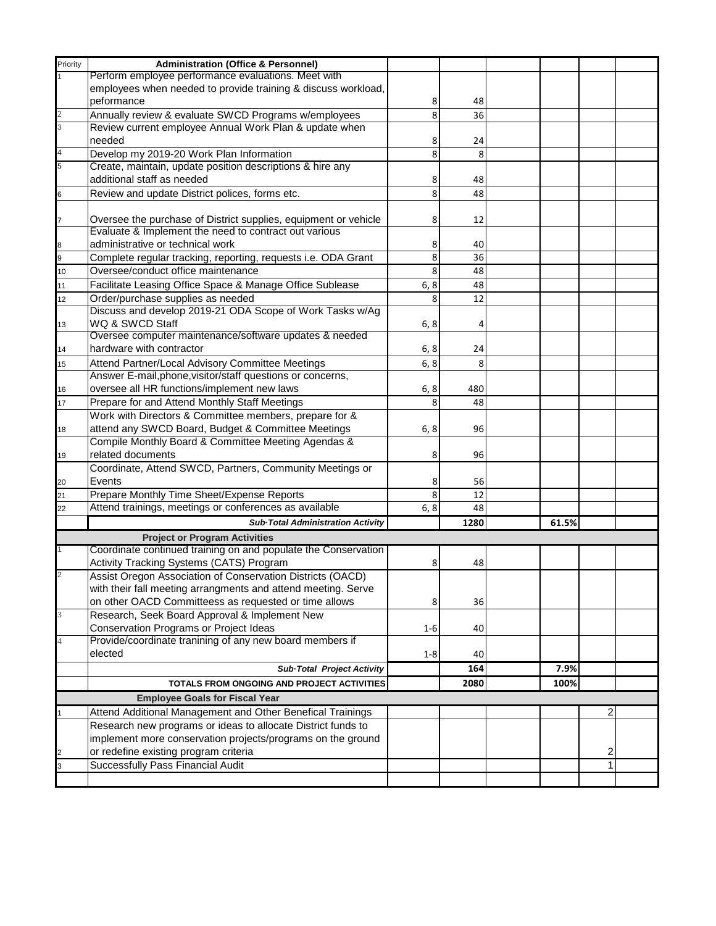| Priority | <b>Administration (Office &amp; Personnel)</b>                  |         |      |       |   |  |
|----------|-----------------------------------------------------------------|---------|------|-------|---|--|
|          | Perform employee performance evaluations. Meet with             |         |      |       |   |  |
|          | employees when needed to provide training & discuss workload,   |         |      |       |   |  |
|          | peformance                                                      | 8       | 48   |       |   |  |
|          | Annually review & evaluate SWCD Programs w/employees            | 8       | 36   |       |   |  |
|          | Review current employee Annual Work Plan & update when          |         |      |       |   |  |
|          | needed                                                          | 8       | 24   |       |   |  |
|          | Develop my 2019-20 Work Plan Information                        | 8       | 8    |       |   |  |
|          | Create, maintain, update position descriptions & hire any       |         |      |       |   |  |
|          | additional staff as needed                                      | 8       | 48   |       |   |  |
| 6        | Review and update District polices, forms etc.                  | 8       | 48   |       |   |  |
|          |                                                                 |         |      |       |   |  |
|          | Oversee the purchase of District supplies, equipment or vehicle | 8       | 12   |       |   |  |
|          | Evaluate & Implement the need to contract out various           |         |      |       |   |  |
| 8        | administrative or technical work                                | 8       | 40   |       |   |  |
| 9        | Complete regular tracking, reporting, requests i.e. ODA Grant   | 8       | 36   |       |   |  |
| 10       | Oversee/conduct office maintenance                              | 8       | 48   |       |   |  |
|          |                                                                 |         | 48   |       |   |  |
| 11       | Facilitate Leasing Office Space & Manage Office Sublease        | 6, 8    |      |       |   |  |
| 12       | Order/purchase supplies as needed                               | 8       | 12   |       |   |  |
|          | Discuss and develop 2019-21 ODA Scope of Work Tasks w/Ag        |         |      |       |   |  |
| 13       | WQ & SWCD Staff                                                 | 6, 8    | 4    |       |   |  |
|          | Oversee computer maintenance/software updates & needed          |         |      |       |   |  |
| 14       | hardware with contractor                                        | 6, 8    | 24   |       |   |  |
| 15       | Attend Partner/Local Advisory Committee Meetings                | 6, 8    | 8    |       |   |  |
|          | Answer E-mail, phone, visitor/staff questions or concerns,      |         |      |       |   |  |
| 16       | oversee all HR functions/implement new laws                     | 6, 8    | 480  |       |   |  |
| 17       | Prepare for and Attend Monthly Staff Meetings                   | 8       | 48   |       |   |  |
|          | Work with Directors & Committee members, prepare for &          |         |      |       |   |  |
| 18       | attend any SWCD Board, Budget & Committee Meetings              | 6, 8    | 96   |       |   |  |
|          | Compile Monthly Board & Committee Meeting Agendas &             |         |      |       |   |  |
| 19       | related documents                                               | 8       | 96   |       |   |  |
|          | Coordinate, Attend SWCD, Partners, Community Meetings or        |         |      |       |   |  |
| 20       | Events                                                          | 8       | 56   |       |   |  |
| 21       | Prepare Monthly Time Sheet/Expense Reports                      | 8       | 12   |       |   |  |
| 22       | Attend trainings, meetings or conferences as available          | 6, 8    | 48   |       |   |  |
|          | Sub-Total Administration Activity                               |         | 1280 | 61.5% |   |  |
|          |                                                                 |         |      |       |   |  |
|          | <b>Project or Program Activities</b>                            |         |      |       |   |  |
|          | Coordinate continued training on and populate the Conservation  |         |      |       |   |  |
|          | Activity Tracking Systems (CATS) Program                        | 8       | 48   |       |   |  |
|          | Assist Oregon Association of Conservation Districts (OACD)      |         |      |       |   |  |
|          | with their fall meeting arrangments and attend meeting. Serve   |         |      |       |   |  |
|          | on other OACD Committeess as requested or time allows           | 8       | 36   |       |   |  |
|          | Research, Seek Board Approval & Implement New                   |         |      |       |   |  |
|          | Conservation Programs or Project Ideas                          | $1 - 6$ | 40   |       |   |  |
|          | Provide/coordinate tranining of any new board members if        |         |      |       |   |  |
|          | elected                                                         | $1 - 8$ | 40   |       |   |  |
|          | Sub-Total Project Activity                                      |         | 164  | 7.9%  |   |  |
|          | TOTALS FROM ONGOING AND PROJECT ACTIVITIES                      |         | 2080 | 100%  |   |  |
|          | <b>Employee Goals for Fiscal Year</b>                           |         |      |       |   |  |
|          | Attend Additional Management and Other Benefical Trainings      |         |      |       | 2 |  |
|          |                                                                 |         |      |       |   |  |
|          | Research new programs or ideas to allocate District funds to    |         |      |       |   |  |
|          | implement more conservation projects/programs on the ground     |         |      |       |   |  |
|          | or redefine existing program criteria                           |         |      |       | 2 |  |
|          | Successfully Pass Financial Audit                               |         |      |       | 1 |  |
|          |                                                                 |         |      |       |   |  |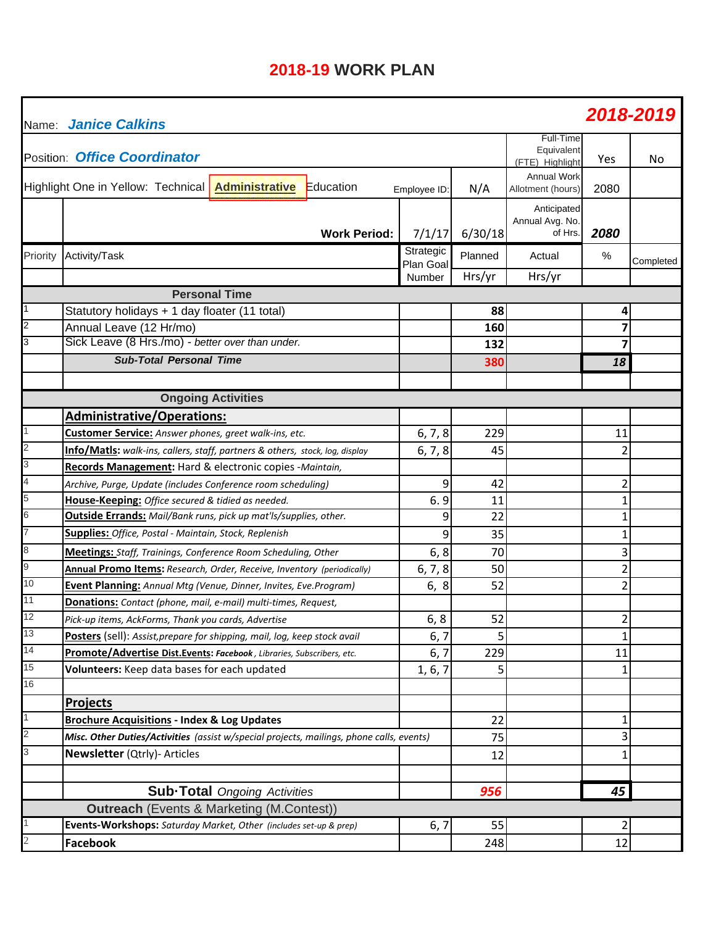# **2018-19 WORK PLAN**

| Name:          | <b>Janice Calkins</b>                                                                    |                        |         |                                            |                | 2018-2019 |
|----------------|------------------------------------------------------------------------------------------|------------------------|---------|--------------------------------------------|----------------|-----------|
|                | Position: Office Coordinator                                                             |                        |         | Full-Time<br>Equivalent<br>(FTE) Highlight | Yes            | No        |
|                | Highlight One in Yellow: Technical<br><b>Administrative</b><br>Education                 | Employee ID:           | N/A     | <b>Annual Work</b><br>Allotment (hours)    | 2080           |           |
|                | <b>Work Period:</b>                                                                      | 7/1/17                 | 6/30/18 | Anticipated<br>Annual Avg. No.<br>of Hrs.  | 2080           |           |
| Priority       | Activity/Task                                                                            | Strategic<br>Plan Goal | Planned | Actual                                     | $\frac{0}{0}$  | Completed |
|                |                                                                                          | Number                 | Hrs/yr  | Hrs/yr                                     |                |           |
|                | <b>Personal Time</b>                                                                     |                        |         |                                            |                |           |
| 1              | Statutory holidays + 1 day floater (11 total)                                            |                        | 88      |                                            | 4              |           |
| 2              | Annual Leave (12 Hr/mo)                                                                  |                        | 160     |                                            | 7              |           |
| 3              | Sick Leave (8 Hrs./mo) - better over than under.                                         |                        | 132     |                                            | $\overline{7}$ |           |
|                | <b>Sub-Total Personal Time</b>                                                           |                        | 380     |                                            | 18             |           |
|                |                                                                                          |                        |         |                                            |                |           |
|                | <b>Ongoing Activities</b>                                                                |                        |         |                                            |                |           |
|                | <b>Administrative/Operations:</b>                                                        |                        |         |                                            |                |           |
|                | Customer Service: Answer phones, greet walk-ins, etc.                                    | 6, 7, 8                | 229     |                                            | 11             |           |
| 2              | Info/Matls: walk-ins, callers, staff, partners & others, stock, log, display             | 6, 7, 8                | 45      |                                            | $\overline{2}$ |           |
| 3              | Records Management: Hard & electronic copies -Maintain,                                  |                        |         |                                            |                |           |
| 4              | Archive, Purge, Update (includes Conference room scheduling)                             | 9                      | 42      |                                            | 2              |           |
| 5              | House-Keeping: Office secured & tidied as needed.                                        | 6.9                    | 11      |                                            | $\mathbf 1$    |           |
| 6              | <b>Outside Errands:</b> Mail/Bank runs, pick up mat'ls/supplies, other.                  | 9                      | 22      |                                            | 1              |           |
| $\overline{7}$ | Supplies: Office, Postal - Maintain, Stock, Replenish                                    | 9                      | 35      |                                            | 1              |           |
| 8              | <b>Meetings:</b> Staff, Trainings, Conference Room Scheduling, Other                     | 6, 8                   | 70      |                                            | 3              |           |
| 9              | Annual Promo Items: Research, Order, Receive, Inventory (periodically)                   | 6, 7, 8                | 50      |                                            | $\overline{2}$ |           |
| 10             | Event Planning: Annual Mtg (Venue, Dinner, Invites, Eve. Program)                        | 6, 8                   | 52      |                                            | $\overline{2}$ |           |
| 11             | Donations: Contact (phone, mail, e-mail) multi-times, Request,                           |                        |         |                                            |                |           |
| 12             | Pick-up items, AckForms, Thank you cards, Advertise                                      | 6, 8                   | 52      |                                            | $\overline{2}$ |           |
| 13             | Posters (sell): Assist, prepare for shipping, mail, log, keep stock avail                | 6, 7                   | 5       |                                            | $\mathbf{1}$   |           |
| 14             | Promote/Advertise Dist.Events: Facebook, Libraries, Subscribers, etc.                    | 6, 7                   | 229     |                                            | 11             |           |
| 15             | Volunteers: Keep data bases for each updated                                             | 1, 6, 7                | 5       |                                            | 1              |           |
| 16             |                                                                                          |                        |         |                                            |                |           |
|                | <b>Projects</b>                                                                          |                        |         |                                            |                |           |
| 1              | <b>Brochure Acquisitions - Index &amp; Log Updates</b>                                   |                        | 22      |                                            | 1              |           |
| 2              | Misc. Other Duties/Activities (assist w/special projects, mailings, phone calls, events) |                        | 75      |                                            | 3              |           |
| 3              | <b>Newsletter (Qtrly)- Articles</b>                                                      |                        | 12      |                                            | 1              |           |
|                |                                                                                          |                        |         |                                            |                |           |
|                | <b>Sub-Total</b> Ongoing Activities                                                      |                        | 956     |                                            | 45             |           |
|                | <b>Outreach</b> (Events & Marketing (M.Contest))                                         |                        |         |                                            |                |           |
|                | Events-Workshops: Saturday Market, Other (includes set-up & prep)                        | 6, 7                   | 55      |                                            | 2              |           |
| 2              | Facebook                                                                                 |                        | 248     |                                            | 12             |           |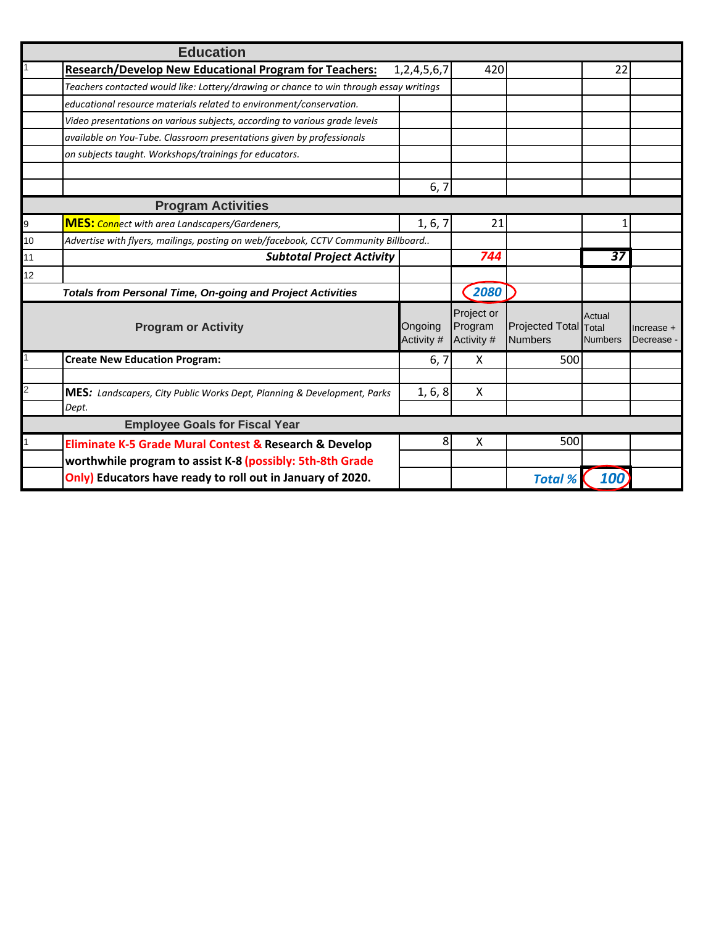|                | <b>Education</b>                                                                       |                       |                                     |                                         |                          |                            |
|----------------|----------------------------------------------------------------------------------------|-----------------------|-------------------------------------|-----------------------------------------|--------------------------|----------------------------|
|                | <b>Research/Develop New Educational Program for Teachers:</b>                          | 1, 2, 4, 5, 6, 7      | 420                                 |                                         | 22                       |                            |
|                | Teachers contacted would like: Lottery/drawing or chance to win through essay writings |                       |                                     |                                         |                          |                            |
|                | educational resource materials related to environment/conservation.                    |                       |                                     |                                         |                          |                            |
|                | Video presentations on various subjects, according to various grade levels             |                       |                                     |                                         |                          |                            |
|                | available on You-Tube. Classroom presentations given by professionals                  |                       |                                     |                                         |                          |                            |
|                | on subjects taught. Workshops/trainings for educators.                                 |                       |                                     |                                         |                          |                            |
|                |                                                                                        |                       |                                     |                                         |                          |                            |
|                |                                                                                        | 6, 7                  |                                     |                                         |                          |                            |
|                | <b>Program Activities</b>                                                              |                       |                                     |                                         |                          |                            |
| 9              | <b>MES:</b> Connect with area Landscapers/Gardeners,                                   | 1, 6, 7               | 21                                  |                                         | 1                        |                            |
| 10             | Advertise with flyers, mailings, posting on web/facebook, CCTV Community Billboard     |                       |                                     |                                         |                          |                            |
| 11             | <b>Subtotal Project Activity</b>                                                       |                       | 744                                 |                                         | 37                       |                            |
| 12             |                                                                                        |                       |                                     |                                         |                          |                            |
|                | <b>Totals from Personal Time, On-going and Project Activities</b>                      |                       | 2080                                |                                         |                          |                            |
|                | <b>Program or Activity</b>                                                             | Ongoing<br>Activity # | Project or<br>Program<br>Activity # | Projected Total Total<br><b>Numbers</b> | Actual<br><b>Numbers</b> | $Increase +$<br>Decrease - |
|                | <b>Create New Education Program:</b>                                                   | 6, 7                  | X                                   | 500                                     |                          |                            |
|                |                                                                                        |                       |                                     |                                         |                          |                            |
| $\overline{2}$ | <b>MES:</b> Landscapers, City Public Works Dept, Planning & Development, Parks         | 1, 6, 8               | X                                   |                                         |                          |                            |
|                | Dept.                                                                                  |                       |                                     |                                         |                          |                            |
|                | <b>Employee Goals for Fiscal Year</b>                                                  |                       |                                     |                                         |                          |                            |
|                | Eliminate K-5 Grade Mural Contest & Research & Develop                                 | 8                     | X                                   | 500                                     |                          |                            |
|                | worthwhile program to assist K-8 (possibly: 5th-8th Grade                              |                       |                                     |                                         |                          |                            |
|                | Only) Educators have ready to roll out in January of 2020.                             |                       |                                     | <b>Total %</b>                          | 100                      |                            |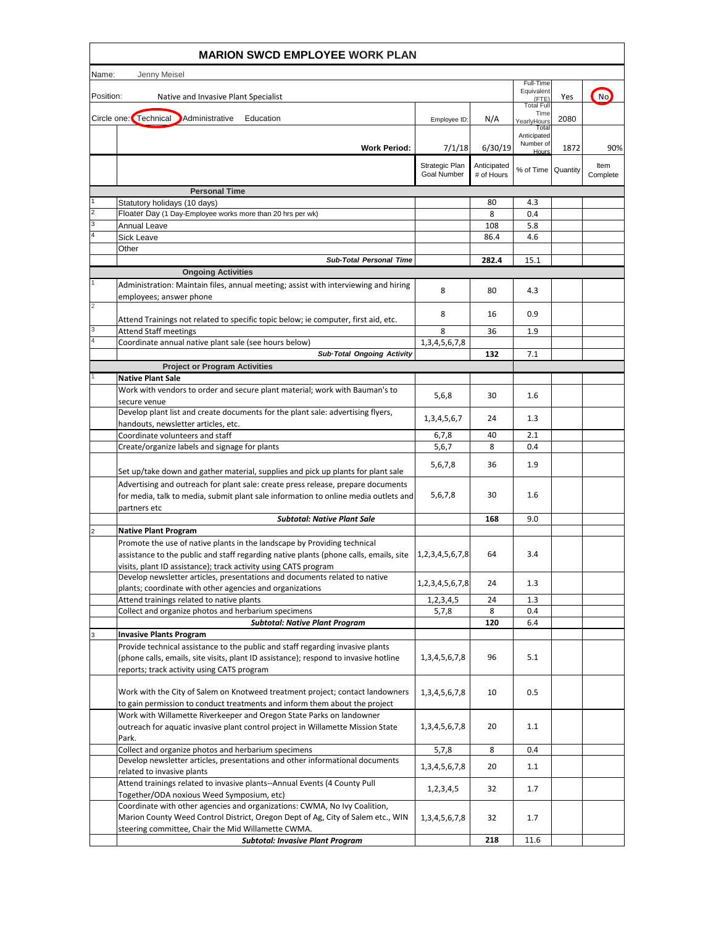|                     | <b>MARION SWCD EMPLOYEE WORK PLAN</b>                                                                                                                                  |                        |             |                         |      |          |
|---------------------|------------------------------------------------------------------------------------------------------------------------------------------------------------------------|------------------------|-------------|-------------------------|------|----------|
| Name:               | Jenny Meisel                                                                                                                                                           |                        |             |                         |      |          |
|                     |                                                                                                                                                                        |                        |             | Full-Time<br>Equivalent |      |          |
| Position:           | Native and Invasive Plant Specialist                                                                                                                                   |                        |             | (FTE)<br>Total Full     | Yes  | No.      |
|                     | Circle one: Technical<br>Administrative<br>Education                                                                                                                   | Employee ID:           | N/A         | Time<br>YearlyHours     | 2080 |          |
|                     |                                                                                                                                                                        |                        |             | Tota<br>Anticipated     |      |          |
|                     | <b>Work Period:</b>                                                                                                                                                    | 7/1/18                 | 6/30/19     | Number of<br>$H$ oun    | 1872 | 90%      |
|                     |                                                                                                                                                                        | Strategic Plan         | Anticipated |                         |      | ltem     |
|                     |                                                                                                                                                                        | Goal Number            | # of Hours  | % of Time Quantity      |      | Complete |
|                     | <b>Personal Time</b>                                                                                                                                                   |                        |             |                         |      |          |
|                     | Statutory holidays (10 days)                                                                                                                                           |                        | 80          | 4.3                     |      |          |
| $\overline{2}$<br>3 | Floater Day (1 Day-Employee works more than 20 hrs per wk)                                                                                                             |                        | 8           | 0.4                     |      |          |
|                     | Annual Leave<br>Sick Leave                                                                                                                                             |                        | 108<br>86.4 | 5.8<br>4.6              |      |          |
|                     | Other                                                                                                                                                                  |                        |             |                         |      |          |
|                     | <b>Sub-Total Personal Time</b>                                                                                                                                         |                        | 282.4       | 15.1                    |      |          |
|                     | <b>Ongoing Activities</b>                                                                                                                                              |                        |             |                         |      |          |
|                     | Administration: Maintain files, annual meeting; assist with interviewing and hiring                                                                                    | 8                      | 80          | 4.3                     |      |          |
| $\overline{c}$      | employees; answer phone                                                                                                                                                |                        |             |                         |      |          |
|                     | Attend Trainings not related to specific topic below; ie computer, first aid, etc.                                                                                     | 8                      | 16          | 0.9                     |      |          |
| 3                   | <b>Attend Staff meetings</b>                                                                                                                                           | 8                      | 36          | 1.9                     |      |          |
| 4                   | Coordinate annual native plant sale (see hours below)                                                                                                                  | 1,3,4,5,6,7,8          |             |                         |      |          |
|                     | Sub-Total Ongoing Activity                                                                                                                                             |                        | 132         | 7.1                     |      |          |
|                     | <b>Project or Program Activities</b><br><b>Native Plant Sale</b>                                                                                                       |                        |             |                         |      |          |
|                     | Work with vendors to order and secure plant material; work with Bauman's to                                                                                            |                        |             |                         |      |          |
|                     | secure venue                                                                                                                                                           | 5,6,8                  | 30          | 1.6                     |      |          |
|                     | Develop plant list and create documents for the plant sale: advertising flyers,                                                                                        | 1, 3, 4, 5, 6, 7       | 24          | 1.3                     |      |          |
|                     | handouts, newsletter articles, etc.<br>Coordinate volunteers and staff                                                                                                 | 6,7,8                  | 40          | 2.1                     |      |          |
|                     | Create/organize labels and signage for plants                                                                                                                          | 5,6,7                  | 8           | 0.4                     |      |          |
|                     |                                                                                                                                                                        |                        |             |                         |      |          |
|                     | Set up/take down and gather material, supplies and pick up plants for plant sale                                                                                       | 5,6,7,8                | 36          | 1.9                     |      |          |
|                     | Advertising and outreach for plant sale: create press release, prepare documents                                                                                       |                        |             |                         |      |          |
|                     | for media, talk to media, submit plant sale information to online media outlets and                                                                                    | 5,6,7,8                | 30          | 1.6                     |      |          |
|                     | partners etc<br><b>Subtotal: Native Plant Sale</b>                                                                                                                     |                        | 168         | 9.0                     |      |          |
|                     | <b>Native Plant Program</b>                                                                                                                                            |                        |             |                         |      |          |
|                     | Promote the use of native plants in the landscape by Providing technical                                                                                               |                        |             |                         |      |          |
|                     | assistance to the public and staff regarding native plants (phone calls, emails, site                                                                                  | 1,2,3,4,5,6,7,8        | 64          | 3.4                     |      |          |
|                     | visits, plant ID assistance); track activity using CATS program                                                                                                        |                        |             |                         |      |          |
|                     | Develop newsletter articles, presentations and documents related to native<br>plants; coordinate with other agencies and organizations                                 | 1, 2, 3, 4, 5, 6, 7, 8 | 24          | 1.3                     |      |          |
|                     | Attend trainings related to native plants                                                                                                                              | 1,2,3,4,5              | 24          | 1.3                     |      |          |
|                     | Collect and organize photos and herbarium specimens                                                                                                                    | 5,7,8                  | 8           | 0.4                     |      |          |
|                     | <b>Subtotal: Native Plant Program</b>                                                                                                                                  |                        | 120         | 6.4                     |      |          |
| 3                   | <b>Invasive Plants Program</b>                                                                                                                                         |                        |             |                         |      |          |
|                     | Provide technical assistance to the public and staff regarding invasive plants<br>(phone calls, emails, site visits, plant ID assistance); respond to invasive hotline | 1, 3, 4, 5, 6, 7, 8    | 96          | 5.1                     |      |          |
|                     | reports; track activity using CATS program                                                                                                                             |                        |             |                         |      |          |
|                     |                                                                                                                                                                        |                        |             |                         |      |          |
|                     | Work with the City of Salem on Knotweed treatment project; contact landowners                                                                                          | 1, 3, 4, 5, 6, 7, 8    | 10          | 0.5                     |      |          |
|                     | to gain permission to conduct treatments and inform them about the project<br>Work with Willamette Riverkeeper and Oregon State Parks on landowner                     |                        |             |                         |      |          |
|                     | outreach for aquatic invasive plant control project in Willamette Mission State                                                                                        | 1, 3, 4, 5, 6, 7, 8    | 20          | 1.1                     |      |          |
|                     | Park.                                                                                                                                                                  |                        |             |                         |      |          |
|                     | Collect and organize photos and herbarium specimens                                                                                                                    | 5,7,8                  | 8           | 0.4                     |      |          |
|                     | Develop newsletter articles, presentations and other informational documents<br>related to invasive plants                                                             | 1, 3, 4, 5, 6, 7, 8    | 20          | 1.1                     |      |          |
|                     | Attend trainings related to invasive plants--Annual Events (4 County Pull                                                                                              |                        |             |                         |      |          |
|                     | Together/ODA noxious Weed Symposium, etc)                                                                                                                              | 1,2,3,4,5              | 32          | 1.7                     |      |          |
|                     | Coordinate with other agencies and organizations: CWMA, No Ivy Coalition,                                                                                              |                        |             |                         |      |          |
|                     | Marion County Weed Control District, Oregon Dept of Ag, City of Salem etc., WIN<br>steering committee, Chair the Mid Willamette CWMA.                                  | 1,3,4,5,6,7,8          | 32          | 1.7                     |      |          |
|                     | <b>Subtotal: Invasive Plant Program</b>                                                                                                                                |                        | 218         | 11.6                    |      |          |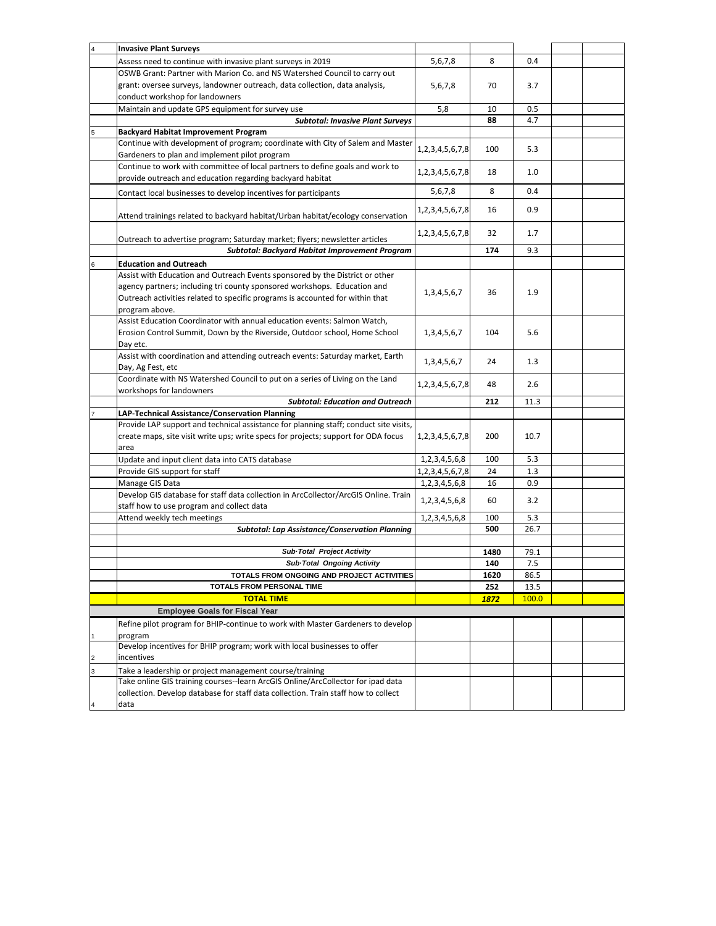|                | <b>Invasive Plant Surveys</b>                                                         |                        |      |         |  |
|----------------|---------------------------------------------------------------------------------------|------------------------|------|---------|--|
|                | Assess need to continue with invasive plant surveys in 2019                           | 5,6,7,8                | 8    | 0.4     |  |
|                | OSWB Grant: Partner with Marion Co. and NS Watershed Council to carry out             |                        |      |         |  |
|                | grant: oversee surveys, landowner outreach, data collection, data analysis,           | 5,6,7,8                | 70   | 3.7     |  |
|                | conduct workshop for landowners                                                       |                        |      |         |  |
|                | Maintain and update GPS equipment for survey use                                      | 5,8                    | 10   | 0.5     |  |
|                |                                                                                       |                        |      |         |  |
|                | <b>Subtotal: Invasive Plant Surveys</b>                                               |                        | 88   | 4.7     |  |
|                | <b>Backyard Habitat Improvement Program</b>                                           |                        |      |         |  |
|                | Continue with development of program; coordinate with City of Salem and Master        | 1, 2, 3, 4, 5, 6, 7, 8 | 100  | 5.3     |  |
|                | Gardeners to plan and implement pilot program                                         |                        |      |         |  |
|                | Continue to work with committee of local partners to define goals and work to         |                        |      |         |  |
|                | provide outreach and education regarding backyard habitat                             | 1, 2, 3, 4, 5, 6, 7, 8 | 18   | 1.0     |  |
|                |                                                                                       |                        | 8    | 0.4     |  |
|                | Contact local businesses to develop incentives for participants                       | 5,6,7,8                |      |         |  |
|                |                                                                                       | 1,2,3,4,5,6,7,8        | 16   | 0.9     |  |
|                | Attend trainings related to backyard habitat/Urban habitat/ecology conservation       |                        |      |         |  |
|                |                                                                                       |                        |      |         |  |
|                | Outreach to advertise program; Saturday market; flyers; newsletter articles           | 1, 2, 3, 4, 5, 6, 7, 8 | 32   | 1.7     |  |
|                | Subtotal: Backyard Habitat Improvement Program                                        |                        | 174  | 9.3     |  |
|                |                                                                                       |                        |      |         |  |
|                | <b>Education and Outreach</b>                                                         |                        |      |         |  |
|                | Assist with Education and Outreach Events sponsored by the District or other          |                        |      |         |  |
|                | agency partners; including tri county sponsored workshops. Education and              | 1, 3, 4, 5, 6, 7       | 36   | 1.9     |  |
|                | Outreach activities related to specific programs is accounted for within that         |                        |      |         |  |
|                | program above.                                                                        |                        |      |         |  |
|                | Assist Education Coordinator with annual education events: Salmon Watch,              |                        |      |         |  |
|                | Erosion Control Summit, Down by the Riverside, Outdoor school, Home School            | 1, 3, 4, 5, 6, 7       | 104  | 5.6     |  |
|                |                                                                                       |                        |      |         |  |
|                | Day etc.                                                                              |                        |      |         |  |
|                | Assist with coordination and attending outreach events: Saturday market, Earth        | 1, 3, 4, 5, 6, 7       | 24   | 1.3     |  |
|                | Day, Ag Fest, etc                                                                     |                        |      |         |  |
|                | Coordinate with NS Watershed Council to put on a series of Living on the Land         | 1, 2, 3, 4, 5, 6, 7, 8 | 48   | 2.6     |  |
|                | workshops for landowners                                                              |                        |      |         |  |
|                | <b>Subtotal: Education and Outreach</b>                                               |                        | 212  | 11.3    |  |
|                | LAP-Technical Assistance/Conservation Planning                                        |                        |      |         |  |
|                | Provide LAP support and technical assistance for planning staff; conduct site visits, |                        |      |         |  |
|                | create maps, site visit write ups; write specs for projects; support for ODA focus    | 1, 2, 3, 4, 5, 6, 7, 8 | 200  | 10.7    |  |
|                |                                                                                       |                        |      |         |  |
|                | area                                                                                  |                        |      |         |  |
|                | Update and input client data into CATS database                                       | 1,2,3,4,5,6,8          | 100  | 5.3     |  |
|                | Provide GIS support for staff                                                         | 1, 2, 3, 4, 5, 6, 7, 8 | 24   | 1.3     |  |
|                | Manage GIS Data                                                                       | 1,2,3,4,5,6,8          | 16   | 0.9     |  |
|                | Develop GIS database for staff data collection in ArcCollector/ArcGIS Online. Train   |                        |      |         |  |
|                | staff how to use program and collect data                                             | 1,2,3,4,5,6,8          | 60   | 3.2     |  |
|                | Attend weekly tech meetings                                                           | 1, 2, 3, 4, 5, 6, 8    | 100  | 5.3     |  |
|                | <b>Subtotal: Lap Assistance/Conservation Planning</b>                                 |                        | 500  | 26.7    |  |
|                |                                                                                       |                        |      |         |  |
|                | Sub-Total Project Activity                                                            |                        |      |         |  |
|                |                                                                                       |                        | 1480 | 79.1    |  |
|                | Sub-Total Ongoing Activity                                                            |                        | 140  | $7.5\,$ |  |
|                | TOTALS FROM ONGOING AND PROJECT ACTIVITIES                                            |                        | 1620 | 86.5    |  |
|                | TOTALS FROM PERSONAL TIME                                                             |                        | 252  | 13.5    |  |
|                | <b>TOTAL TIME</b>                                                                     |                        | 1872 | 100.0   |  |
|                | <b>Employee Goals for Fiscal Year</b>                                                 |                        |      |         |  |
|                | Refine pilot program for BHIP-continue to work with Master Gardeners to develop       |                        |      |         |  |
|                |                                                                                       |                        |      |         |  |
|                | program                                                                               |                        |      |         |  |
|                | Develop incentives for BHIP program; work with local businesses to offer              |                        |      |         |  |
| $\overline{c}$ | incentives                                                                            |                        |      |         |  |
| 3              | Take a leadership or project management course/training                               |                        |      |         |  |
|                | Take online GIS training courses--learn ArcGIS Online/ArcCollector for ipad data      |                        |      |         |  |
|                | collection. Develop database for staff data collection. Train staff how to collect    |                        |      |         |  |
|                | data                                                                                  |                        |      |         |  |
|                |                                                                                       |                        |      |         |  |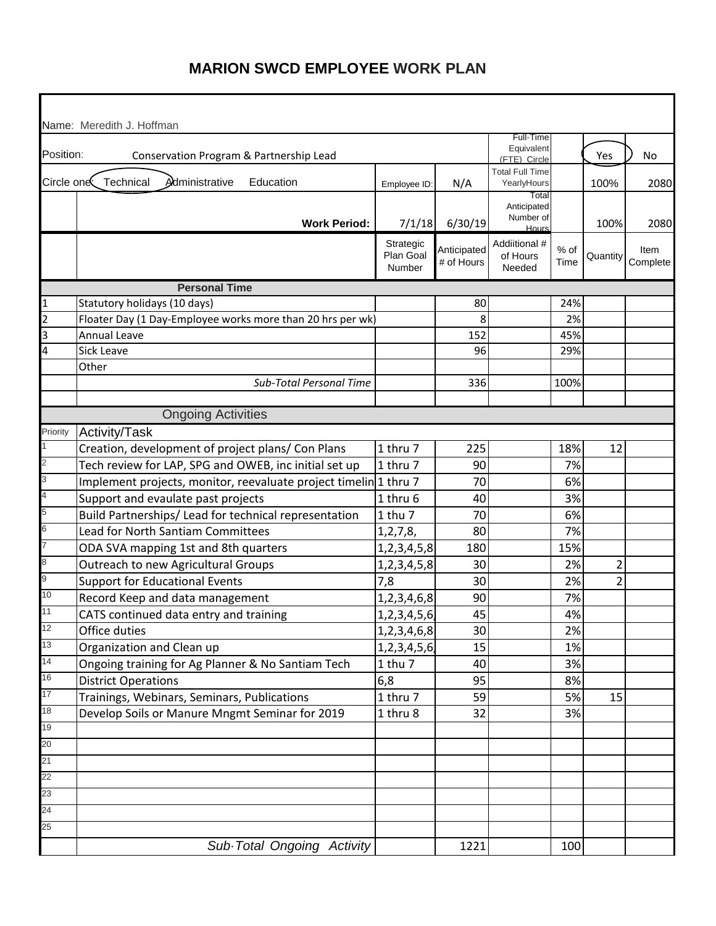|                          | Name: Meredith J. Hoffman                                        |                        |             |                                        |      |                |          |
|--------------------------|------------------------------------------------------------------|------------------------|-------------|----------------------------------------|------|----------------|----------|
|                          |                                                                  |                        |             | Full-Time                              |      |                |          |
| Position:                | Conservation Program & Partnership Lead                          |                        |             | Equivalent                             |      | Yes            | No       |
|                          |                                                                  |                        |             | (FTE) Circle<br><b>Total Full Time</b> |      |                |          |
| Circle one               | Technical<br>Administrative<br>Education                         | Employee ID:           | N/A         | YearlyHours                            |      | 100%           | 2080     |
|                          |                                                                  |                        |             | Total<br>Anticipated                   |      |                |          |
|                          | <b>Work Period:</b>                                              | 7/1/18                 | 6/30/19     | Number of<br>Hours                     |      | 100%           | 2080     |
|                          |                                                                  | Strategic<br>Plan Goal | Anticipated | Addiitional #<br>of Hours              | % of | Quantity       | Item     |
|                          |                                                                  | Number                 | # of Hours  | Needed                                 | Time |                | Complete |
|                          | <b>Personal Time</b>                                             |                        |             |                                        |      |                |          |
| $\mathbf{1}$             | Statutory holidays (10 days)                                     |                        | 80          |                                        | 24%  |                |          |
| $\overline{c}$           | Floater Day (1 Day-Employee works more than 20 hrs per wk)       |                        | 8           |                                        | 2%   |                |          |
| 3                        | Annual Leave                                                     |                        | 152         |                                        | 45%  |                |          |
| 4                        | Sick Leave                                                       |                        | 96          |                                        | 29%  |                |          |
|                          | Other                                                            |                        |             |                                        |      |                |          |
|                          | Sub-Total Personal Time                                          |                        | 336         |                                        | 100% |                |          |
|                          |                                                                  |                        |             |                                        |      |                |          |
|                          | <b>Ongoing Activities</b>                                        |                        |             |                                        |      |                |          |
| Priority                 | Activity/Task                                                    |                        |             |                                        |      |                |          |
| 1                        | Creation, development of project plans/ Con Plans                | 1 thru 7               | 225         |                                        | 18%  | 12             |          |
| $\overline{2}$           | Tech review for LAP, SPG and OWEB, inc initial set up            | 1 thru 7               | 90          |                                        | 7%   |                |          |
| 3                        | Implement projects, monitor, reevaluate project timelin 1 thru 7 |                        | 70          |                                        | 6%   |                |          |
| $\overline{\mathcal{A}}$ | Support and evaulate past projects                               | 1 thru 6               | 40          |                                        | 3%   |                |          |
| 5                        | Build Partnerships/ Lead for technical representation            | 1 thu 7                | 70          |                                        | 6%   |                |          |
| $6\overline{6}$          | <b>Lead for North Santiam Committees</b>                         | 1, 2, 7, 8,            | 80          |                                        | 7%   |                |          |
| 7                        | ODA SVA mapping 1st and 8th quarters                             | 1, 2, 3, 4, 5, 8       | 180         |                                        | 15%  |                |          |
| 8                        | Outreach to new Agricultural Groups                              | 1, 2, 3, 4, 5, 8       | 30          |                                        | 2%   | $\overline{2}$ |          |
| 9                        | <b>Support for Educational Events</b>                            | 7,8                    | 30          |                                        | 2%   | $\overline{2}$ |          |
| 10                       | Record Keep and data management                                  | 1,2,3,4,6,8            | 90          |                                        | 7%   |                |          |
| 11                       | CATS continued data entry and training                           | 1, 2, 3, 4, 5, 6       | 45          |                                        | 4%   |                |          |
| 12                       | Office duties                                                    | 1,2,3,4,6,8            | 30          |                                        | 2%   |                |          |
| 13                       | Organization and Clean up                                        | 1, 2, 3, 4, 5, 6       | 15          |                                        | 1%   |                |          |
| 14                       | Ongoing training for Ag Planner & No Santiam Tech                | $1$ thu $7$            | 40          |                                        | 3%   |                |          |
| 16                       | <b>District Operations</b>                                       | 6,8                    | 95          |                                        | 8%   |                |          |
| 17                       | Trainings, Webinars, Seminars, Publications                      | 1 thru 7               | 59          |                                        | 5%   | 15             |          |
| 18                       | Develop Soils or Manure Mngmt Seminar for 2019                   | 1 thru 8               | 32          |                                        | 3%   |                |          |
| 19                       |                                                                  |                        |             |                                        |      |                |          |
| 20                       |                                                                  |                        |             |                                        |      |                |          |
| 21                       |                                                                  |                        |             |                                        |      |                |          |
| 22                       |                                                                  |                        |             |                                        |      |                |          |
| 23                       |                                                                  |                        |             |                                        |      |                |          |
| 24                       |                                                                  |                        |             |                                        |      |                |          |
| 25                       |                                                                  |                        |             |                                        |      |                |          |
|                          | Sub Total Ongoing Activity                                       |                        | 1221        |                                        | 100  |                |          |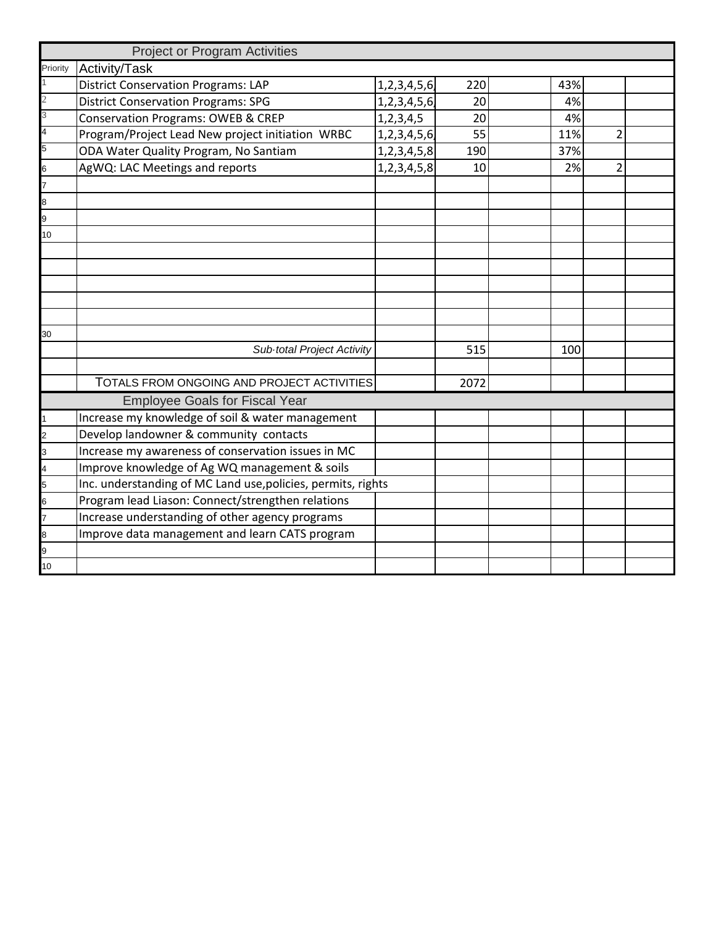|                | <b>Project or Program Activities</b>                         |                  |      |     |                |
|----------------|--------------------------------------------------------------|------------------|------|-----|----------------|
| Priority       | Activity/Task                                                |                  |      |     |                |
|                | <b>District Conservation Programs: LAP</b>                   | 1, 2, 3, 4, 5, 6 | 220  | 43% |                |
| $\overline{2}$ | <b>District Conservation Programs: SPG</b>                   | 1,2,3,4,5,6      | 20   | 4%  |                |
| 3              | <b>Conservation Programs: OWEB &amp; CREP</b>                | 1,2,3,4,5        | 20   | 4%  |                |
| $\overline{4}$ | Program/Project Lead New project initiation WRBC             | 1, 2, 3, 4, 5, 6 | 55   | 11% | $\overline{2}$ |
| 5              | ODA Water Quality Program, No Santiam                        | 1, 2, 3, 4, 5, 8 | 190  | 37% |                |
| 6              | AgWQ: LAC Meetings and reports                               | 1, 2, 3, 4, 5, 8 | 10   | 2%  | $\overline{2}$ |
|                |                                                              |                  |      |     |                |
| 8              |                                                              |                  |      |     |                |
| 9              |                                                              |                  |      |     |                |
| 10             |                                                              |                  |      |     |                |
|                |                                                              |                  |      |     |                |
|                |                                                              |                  |      |     |                |
|                |                                                              |                  |      |     |                |
|                |                                                              |                  |      |     |                |
|                |                                                              |                  |      |     |                |
| 30             |                                                              |                  |      |     |                |
|                | Sub total Project Activity                                   |                  | 515  | 100 |                |
|                |                                                              |                  |      |     |                |
|                | TOTALS FROM ONGOING AND PROJECT ACTIVITIES                   |                  | 2072 |     |                |
|                | <b>Employee Goals for Fiscal Year</b>                        |                  |      |     |                |
|                | Increase my knowledge of soil & water management             |                  |      |     |                |
| $\overline{2}$ | Develop landowner & community contacts                       |                  |      |     |                |
| 3              | Increase my awareness of conservation issues in MC           |                  |      |     |                |
| 4              | Improve knowledge of Ag WQ management & soils                |                  |      |     |                |
| 5              | Inc. understanding of MC Land use, policies, permits, rights |                  |      |     |                |
| 6              | Program lead Liason: Connect/strengthen relations            |                  |      |     |                |
|                | Increase understanding of other agency programs              |                  |      |     |                |
| 8              | Improve data management and learn CATS program               |                  |      |     |                |
| 9              |                                                              |                  |      |     |                |
| 10             |                                                              |                  |      |     |                |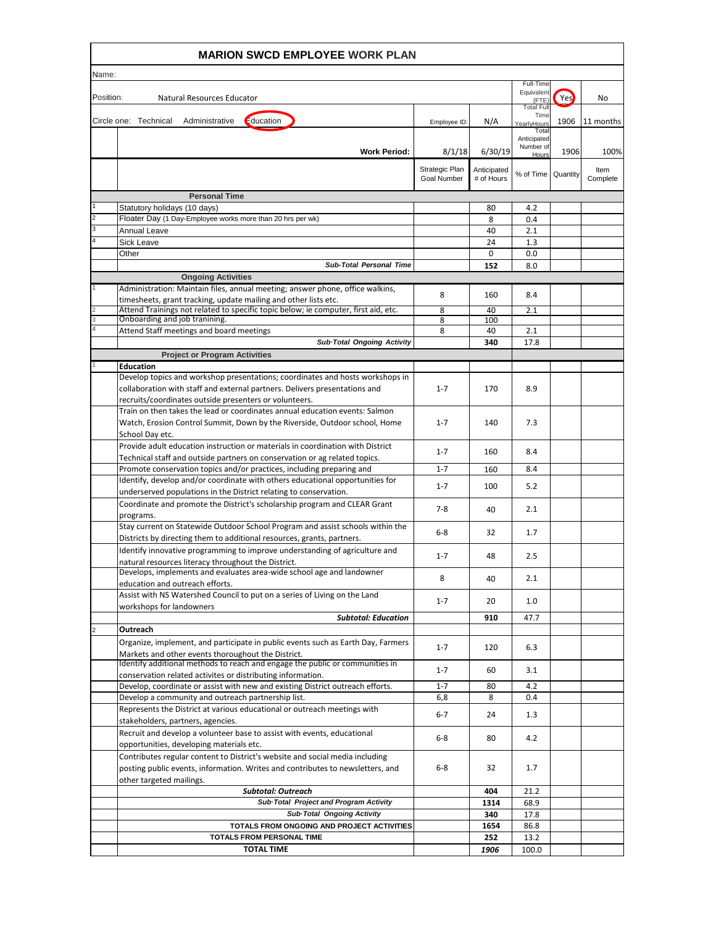|                     | <b>MARION SWCD EMPLOYEE WORK PLAN</b>                                                                                                                        |                                      |                           |                          |          |                  |  |
|---------------------|--------------------------------------------------------------------------------------------------------------------------------------------------------------|--------------------------------------|---------------------------|--------------------------|----------|------------------|--|
| Name:               |                                                                                                                                                              |                                      |                           |                          |          |                  |  |
|                     |                                                                                                                                                              |                                      |                           | Full-Time<br>Equivalent  |          |                  |  |
| Position:           | Natural Resources Educator                                                                                                                                   |                                      |                           | (FTE<br><b>Total Ful</b> | Yes      | No               |  |
|                     | Education<br>Circle one: Technical<br>Administrative                                                                                                         | Employee ID:                         | N/A                       | Time<br>YearlyHours      | 1906     | 11 months        |  |
|                     |                                                                                                                                                              |                                      |                           | Tota<br>Anticipated      |          |                  |  |
|                     | <b>Work Period:</b>                                                                                                                                          | 8/1/18                               | 6/30/19                   | Number of<br>Hours       | 1906     | 100%             |  |
|                     |                                                                                                                                                              |                                      |                           |                          |          |                  |  |
|                     |                                                                                                                                                              | Strategic Plan<br><b>Goal Number</b> | Anticipated<br># of Hours | % of Time                | Quantity | Item<br>Complete |  |
|                     | <b>Personal Time</b>                                                                                                                                         |                                      |                           |                          |          |                  |  |
|                     | Statutory holidays (10 days)                                                                                                                                 |                                      | 80                        | 4.2                      |          |                  |  |
| 2                   | Floater Day (1 Day-Employee works more than 20 hrs per wk)                                                                                                   |                                      | 8                         | 0.4                      |          |                  |  |
| 3<br>$\overline{4}$ | <b>Annual Leave</b><br><b>Sick Leave</b>                                                                                                                     |                                      | 40<br>24                  | 2.1<br>1.3               |          |                  |  |
|                     | Other                                                                                                                                                        |                                      | 0                         | 0.0                      |          |                  |  |
|                     | Sub-Total Personal Time                                                                                                                                      |                                      | 152                       | 8.0                      |          |                  |  |
|                     | <b>Ongoing Activities</b>                                                                                                                                    |                                      |                           |                          |          |                  |  |
|                     | Administration: Maintain files, annual meeting; answer phone, office walkins,<br>timesheets, grant tracking, update mailing and other lists etc.             | 8                                    | 160                       | 8.4                      |          |                  |  |
|                     | Attend Trainings not related to specific topic below; ie computer, first aid, etc.                                                                           | 8                                    | 40                        | 2.1                      |          |                  |  |
|                     | Onboarding and job tranining.                                                                                                                                | 8                                    | 100                       |                          |          |                  |  |
|                     | Attend Staff meetings and board meetings<br>Sub-Total Ongoing Activity                                                                                       | 8                                    | 40<br>340                 | 2.1<br>17.8              |          |                  |  |
|                     | <b>Project or Program Activities</b>                                                                                                                         |                                      |                           |                          |          |                  |  |
|                     | <b>Education</b>                                                                                                                                             |                                      |                           |                          |          |                  |  |
|                     | Develop topics and workshop presentations; coordinates and hosts workshops in                                                                                |                                      |                           |                          |          |                  |  |
|                     | collaboration with staff and external partners. Delivers presentations and<br>recruits/coordinates outside presenters or volunteers.                         | $1 - 7$                              | 170                       | 8.9                      |          |                  |  |
|                     | Train on then takes the lead or coordinates annual education events: Salmon                                                                                  |                                      |                           |                          |          |                  |  |
|                     | Watch, Erosion Control Summit, Down by the Riverside, Outdoor school, Home                                                                                   | $1 - 7$                              | 140                       | 7.3                      |          |                  |  |
|                     | School Day etc.                                                                                                                                              |                                      |                           |                          |          |                  |  |
|                     | Provide adult education instruction or materials in coordination with District<br>Technical staff and outside partners on conservation or ag related topics. | $1 - 7$                              | 160                       | 8.4                      |          |                  |  |
|                     | Promote conservation topics and/or practices, including preparing and                                                                                        | $1 - 7$                              | 160                       | 8.4                      |          |                  |  |
|                     | Identify, develop and/or coordinate with others educational opportunities for                                                                                | $1 - 7$                              | 100                       | 5.2                      |          |                  |  |
|                     | underserved populations in the District relating to conservation.                                                                                            |                                      |                           |                          |          |                  |  |
|                     | Coordinate and promote the District's scholarship program and CLEAR Grant<br>programs.                                                                       | $7-8$                                | 40                        | 2.1                      |          |                  |  |
|                     | Stay current on Statewide Outdoor School Program and assist schools within the                                                                               |                                      |                           |                          |          |                  |  |
|                     | Districts by directing them to additional resources, grants, partners.                                                                                       | $6 - 8$                              | 32                        | 1.7                      |          |                  |  |
|                     | Identify innovative programming to improve understanding of agriculture and                                                                                  | $1 - 7$                              | 48                        | 2.5                      |          |                  |  |
|                     | natural resources literacy throughout the District.<br>Develops, implements and evaluates area-wide school age and landowner                                 |                                      |                           |                          |          |                  |  |
|                     | education and outreach efforts.                                                                                                                              | 8                                    | 40                        | 2.1                      |          |                  |  |
|                     | Assist with NS Watershed Council to put on a series of Living on the Land                                                                                    | $1 - 7$                              | 20                        | 1.0                      |          |                  |  |
|                     | workshops for landowners<br><b>Subtotal: Education</b>                                                                                                       |                                      | 910                       | 47.7                     |          |                  |  |
|                     | Outreach                                                                                                                                                     |                                      |                           |                          |          |                  |  |
|                     | Organize, implement, and participate in public events such as Earth Day, Farmers                                                                             | $1 - 7$                              | 120                       | 6.3                      |          |                  |  |
|                     | Markets and other events thoroughout the District.<br>Identify additional methods to reach and engage the public or communities in                           |                                      |                           |                          |          |                  |  |
|                     | conservation related activites or distributing information.                                                                                                  | $1 - 7$                              | 60                        | 3.1                      |          |                  |  |
|                     | Develop, coordinate or assist with new and existing District outreach efforts.                                                                               | $1 - 7$                              | 80                        | 4.2                      |          |                  |  |
|                     | Develop a community and outreach partnership list.                                                                                                           | 6,8                                  | 8                         | 0.4                      |          |                  |  |
|                     | Represents the District at various educational or outreach meetings with                                                                                     | 6-7                                  | 24                        | 1.3                      |          |                  |  |
|                     | stakeholders, partners, agencies.<br>Recruit and develop a volunteer base to assist with events, educational                                                 |                                      |                           |                          |          |                  |  |
|                     | opportunities, developing materials etc.                                                                                                                     | $6-8$                                | 80                        | 4.2                      |          |                  |  |
|                     | Contributes regular content to District's website and social media including                                                                                 |                                      |                           |                          |          |                  |  |
|                     | posting public events, information. Writes and contributes to newsletters, and                                                                               | $6-8$                                | 32                        | 1.7                      |          |                  |  |
|                     | other targeted mailings.<br><b>Subtotal: Outreach</b>                                                                                                        |                                      | 404                       | 21.2                     |          |                  |  |
|                     | Sub-Total Project and Program Activity                                                                                                                       |                                      | 1314                      | 68.9                     |          |                  |  |
|                     | Sub-Total Ongoing Activity                                                                                                                                   |                                      | 340                       | 17.8                     |          |                  |  |
|                     | TOTALS FROM ONGOING AND PROJECT ACTIVITIES<br>TOTALS FROM PERSONAL TIME                                                                                      |                                      | 1654                      | 86.8                     |          |                  |  |
|                     | <b>TOTAL TIME</b>                                                                                                                                            |                                      | 252<br>1906               | 13.2<br>100.0            |          |                  |  |
|                     |                                                                                                                                                              |                                      |                           |                          |          |                  |  |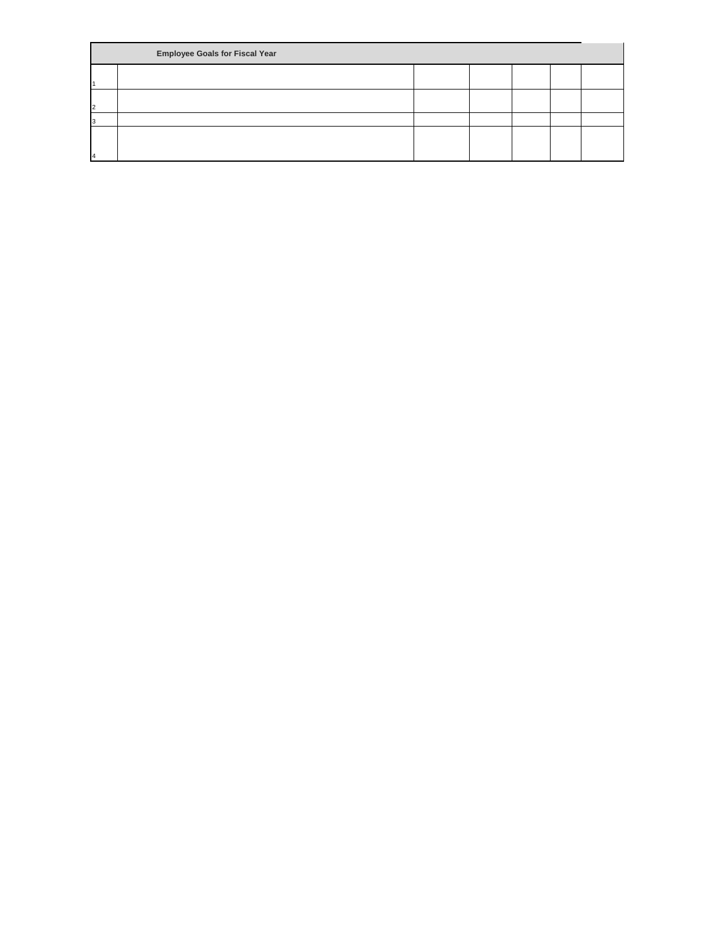|               | <b>Employee Goals for Fiscal Year</b> |  |  |  |  |  |  |  |
|---------------|---------------------------------------|--|--|--|--|--|--|--|
|               |                                       |  |  |  |  |  |  |  |
| $\mathcal{D}$ |                                       |  |  |  |  |  |  |  |
|               |                                       |  |  |  |  |  |  |  |
|               |                                       |  |  |  |  |  |  |  |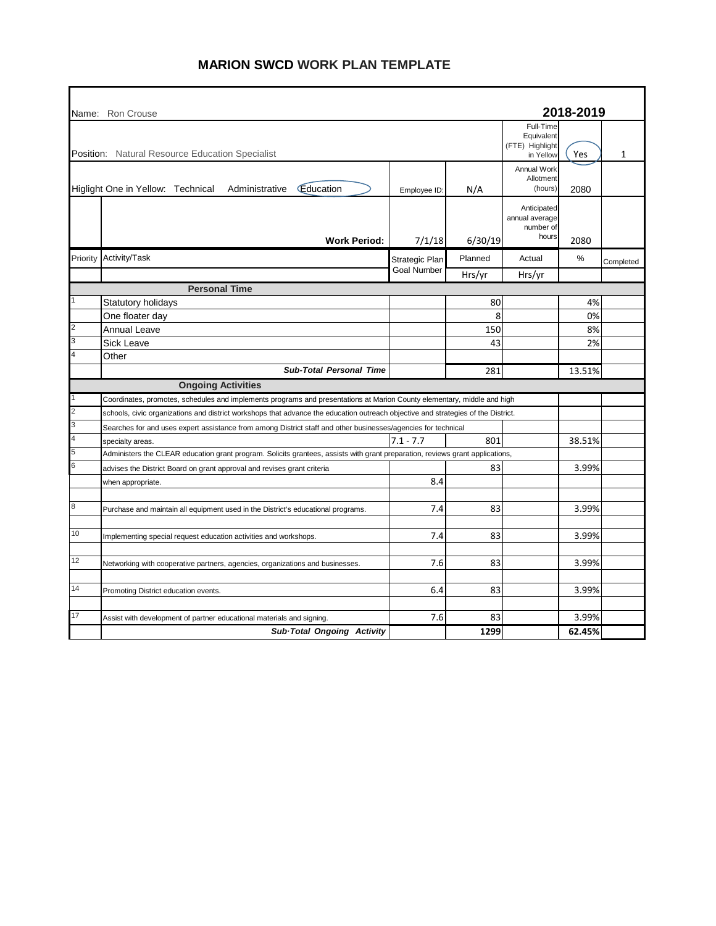### **MARION SWCD WORK PLAN TEMPLATE**

| 2018-2019<br>Name: Ron Crouse<br>Full-Time<br>Equivalent<br>(FTE) Highlight<br><b>Position:</b> Natural Resource Education Specialist<br>1<br>Yes<br>in Yellow<br>Annual Work<br>Allotment<br>Education<br>Higlight One in Yellow: Technical<br>Administrative<br>(hours)<br>N/A<br>2080<br>Employee ID:<br>Anticipated<br>annual average<br>number of<br>hours<br><b>Work Period:</b><br>7/1/18<br>6/30/19<br>2080<br>Activity/Task<br>Planned<br>$\%$<br>Priority<br>Actual<br>Strategic Plan<br>Completed<br><b>Goal Number</b><br>Hrs/yr<br>Hrs/yr<br><b>Personal Time</b><br>80<br>4%<br>Statutory holidays<br>8<br>0%<br>One floater day<br>2<br><b>Annual Leave</b><br>150<br>8%<br>3<br>Sick Leave<br>43<br>2%<br>$\overline{4}$<br>Other<br><b>Sub-Total Personal Time</b><br>281<br>13.51%<br><b>Ongoing Activities</b><br>Coordinates, promotes, schedules and implements programs and presentations at Marion County elementary, middle and high<br>2<br>schools, civic organizations and district workshops that advance the education outreach objective and strategies of the District.<br>3<br>Searches for and uses expert assistance from among District staff and other businesses/agencies for technical<br>$\overline{\mathbf{4}}$<br>$7.1 - 7.7$<br>801<br>38.51%<br>specialty areas.<br>5<br>Administers the CLEAR education grant program. Solicits grantees, assists with grant preparation, reviews grant applications,<br>6<br>3.99%<br>83<br>advises the District Board on grant approval and revises grant criteria<br>8.4<br>when appropriate.<br>$\bf{8}$<br>7.4<br>83<br>3.99%<br>Purchase and maintain all equipment used in the District's educational programs.<br>10<br>7.4<br>83<br>3.99%<br>Implementing special request education activities and workshops.<br>12<br>7.6<br>83<br>3.99%<br>Networking with cooperative partners, agencies, organizations and businesses.<br>14<br>83<br>3.99%<br>6.4<br>Promoting District education events.<br>17<br>7.6<br>83<br>3.99%<br>Assist with development of partner educational materials and signing.<br>62.45%<br>Sub-Total Ongoing Activity<br>1299 |  |  |  |  |  |  |  |  |  |  |  |  |
|------------------------------------------------------------------------------------------------------------------------------------------------------------------------------------------------------------------------------------------------------------------------------------------------------------------------------------------------------------------------------------------------------------------------------------------------------------------------------------------------------------------------------------------------------------------------------------------------------------------------------------------------------------------------------------------------------------------------------------------------------------------------------------------------------------------------------------------------------------------------------------------------------------------------------------------------------------------------------------------------------------------------------------------------------------------------------------------------------------------------------------------------------------------------------------------------------------------------------------------------------------------------------------------------------------------------------------------------------------------------------------------------------------------------------------------------------------------------------------------------------------------------------------------------------------------------------------------------------------------------------------------------------------------------------------------------------------------------------------------------------------------------------------------------------------------------------------------------------------------------------------------------------------------------------------------------------------------------------------------------------------------------------------------------------------------------------------------------------------------------------------------|--|--|--|--|--|--|--|--|--|--|--|--|
|                                                                                                                                                                                                                                                                                                                                                                                                                                                                                                                                                                                                                                                                                                                                                                                                                                                                                                                                                                                                                                                                                                                                                                                                                                                                                                                                                                                                                                                                                                                                                                                                                                                                                                                                                                                                                                                                                                                                                                                                                                                                                                                                          |  |  |  |  |  |  |  |  |  |  |  |  |
|                                                                                                                                                                                                                                                                                                                                                                                                                                                                                                                                                                                                                                                                                                                                                                                                                                                                                                                                                                                                                                                                                                                                                                                                                                                                                                                                                                                                                                                                                                                                                                                                                                                                                                                                                                                                                                                                                                                                                                                                                                                                                                                                          |  |  |  |  |  |  |  |  |  |  |  |  |
|                                                                                                                                                                                                                                                                                                                                                                                                                                                                                                                                                                                                                                                                                                                                                                                                                                                                                                                                                                                                                                                                                                                                                                                                                                                                                                                                                                                                                                                                                                                                                                                                                                                                                                                                                                                                                                                                                                                                                                                                                                                                                                                                          |  |  |  |  |  |  |  |  |  |  |  |  |
|                                                                                                                                                                                                                                                                                                                                                                                                                                                                                                                                                                                                                                                                                                                                                                                                                                                                                                                                                                                                                                                                                                                                                                                                                                                                                                                                                                                                                                                                                                                                                                                                                                                                                                                                                                                                                                                                                                                                                                                                                                                                                                                                          |  |  |  |  |  |  |  |  |  |  |  |  |
|                                                                                                                                                                                                                                                                                                                                                                                                                                                                                                                                                                                                                                                                                                                                                                                                                                                                                                                                                                                                                                                                                                                                                                                                                                                                                                                                                                                                                                                                                                                                                                                                                                                                                                                                                                                                                                                                                                                                                                                                                                                                                                                                          |  |  |  |  |  |  |  |  |  |  |  |  |
|                                                                                                                                                                                                                                                                                                                                                                                                                                                                                                                                                                                                                                                                                                                                                                                                                                                                                                                                                                                                                                                                                                                                                                                                                                                                                                                                                                                                                                                                                                                                                                                                                                                                                                                                                                                                                                                                                                                                                                                                                                                                                                                                          |  |  |  |  |  |  |  |  |  |  |  |  |
|                                                                                                                                                                                                                                                                                                                                                                                                                                                                                                                                                                                                                                                                                                                                                                                                                                                                                                                                                                                                                                                                                                                                                                                                                                                                                                                                                                                                                                                                                                                                                                                                                                                                                                                                                                                                                                                                                                                                                                                                                                                                                                                                          |  |  |  |  |  |  |  |  |  |  |  |  |
|                                                                                                                                                                                                                                                                                                                                                                                                                                                                                                                                                                                                                                                                                                                                                                                                                                                                                                                                                                                                                                                                                                                                                                                                                                                                                                                                                                                                                                                                                                                                                                                                                                                                                                                                                                                                                                                                                                                                                                                                                                                                                                                                          |  |  |  |  |  |  |  |  |  |  |  |  |
|                                                                                                                                                                                                                                                                                                                                                                                                                                                                                                                                                                                                                                                                                                                                                                                                                                                                                                                                                                                                                                                                                                                                                                                                                                                                                                                                                                                                                                                                                                                                                                                                                                                                                                                                                                                                                                                                                                                                                                                                                                                                                                                                          |  |  |  |  |  |  |  |  |  |  |  |  |
|                                                                                                                                                                                                                                                                                                                                                                                                                                                                                                                                                                                                                                                                                                                                                                                                                                                                                                                                                                                                                                                                                                                                                                                                                                                                                                                                                                                                                                                                                                                                                                                                                                                                                                                                                                                                                                                                                                                                                                                                                                                                                                                                          |  |  |  |  |  |  |  |  |  |  |  |  |
|                                                                                                                                                                                                                                                                                                                                                                                                                                                                                                                                                                                                                                                                                                                                                                                                                                                                                                                                                                                                                                                                                                                                                                                                                                                                                                                                                                                                                                                                                                                                                                                                                                                                                                                                                                                                                                                                                                                                                                                                                                                                                                                                          |  |  |  |  |  |  |  |  |  |  |  |  |
|                                                                                                                                                                                                                                                                                                                                                                                                                                                                                                                                                                                                                                                                                                                                                                                                                                                                                                                                                                                                                                                                                                                                                                                                                                                                                                                                                                                                                                                                                                                                                                                                                                                                                                                                                                                                                                                                                                                                                                                                                                                                                                                                          |  |  |  |  |  |  |  |  |  |  |  |  |
|                                                                                                                                                                                                                                                                                                                                                                                                                                                                                                                                                                                                                                                                                                                                                                                                                                                                                                                                                                                                                                                                                                                                                                                                                                                                                                                                                                                                                                                                                                                                                                                                                                                                                                                                                                                                                                                                                                                                                                                                                                                                                                                                          |  |  |  |  |  |  |  |  |  |  |  |  |
|                                                                                                                                                                                                                                                                                                                                                                                                                                                                                                                                                                                                                                                                                                                                                                                                                                                                                                                                                                                                                                                                                                                                                                                                                                                                                                                                                                                                                                                                                                                                                                                                                                                                                                                                                                                                                                                                                                                                                                                                                                                                                                                                          |  |  |  |  |  |  |  |  |  |  |  |  |
|                                                                                                                                                                                                                                                                                                                                                                                                                                                                                                                                                                                                                                                                                                                                                                                                                                                                                                                                                                                                                                                                                                                                                                                                                                                                                                                                                                                                                                                                                                                                                                                                                                                                                                                                                                                                                                                                                                                                                                                                                                                                                                                                          |  |  |  |  |  |  |  |  |  |  |  |  |
|                                                                                                                                                                                                                                                                                                                                                                                                                                                                                                                                                                                                                                                                                                                                                                                                                                                                                                                                                                                                                                                                                                                                                                                                                                                                                                                                                                                                                                                                                                                                                                                                                                                                                                                                                                                                                                                                                                                                                                                                                                                                                                                                          |  |  |  |  |  |  |  |  |  |  |  |  |
|                                                                                                                                                                                                                                                                                                                                                                                                                                                                                                                                                                                                                                                                                                                                                                                                                                                                                                                                                                                                                                                                                                                                                                                                                                                                                                                                                                                                                                                                                                                                                                                                                                                                                                                                                                                                                                                                                                                                                                                                                                                                                                                                          |  |  |  |  |  |  |  |  |  |  |  |  |
|                                                                                                                                                                                                                                                                                                                                                                                                                                                                                                                                                                                                                                                                                                                                                                                                                                                                                                                                                                                                                                                                                                                                                                                                                                                                                                                                                                                                                                                                                                                                                                                                                                                                                                                                                                                                                                                                                                                                                                                                                                                                                                                                          |  |  |  |  |  |  |  |  |  |  |  |  |
|                                                                                                                                                                                                                                                                                                                                                                                                                                                                                                                                                                                                                                                                                                                                                                                                                                                                                                                                                                                                                                                                                                                                                                                                                                                                                                                                                                                                                                                                                                                                                                                                                                                                                                                                                                                                                                                                                                                                                                                                                                                                                                                                          |  |  |  |  |  |  |  |  |  |  |  |  |
|                                                                                                                                                                                                                                                                                                                                                                                                                                                                                                                                                                                                                                                                                                                                                                                                                                                                                                                                                                                                                                                                                                                                                                                                                                                                                                                                                                                                                                                                                                                                                                                                                                                                                                                                                                                                                                                                                                                                                                                                                                                                                                                                          |  |  |  |  |  |  |  |  |  |  |  |  |
|                                                                                                                                                                                                                                                                                                                                                                                                                                                                                                                                                                                                                                                                                                                                                                                                                                                                                                                                                                                                                                                                                                                                                                                                                                                                                                                                                                                                                                                                                                                                                                                                                                                                                                                                                                                                                                                                                                                                                                                                                                                                                                                                          |  |  |  |  |  |  |  |  |  |  |  |  |
|                                                                                                                                                                                                                                                                                                                                                                                                                                                                                                                                                                                                                                                                                                                                                                                                                                                                                                                                                                                                                                                                                                                                                                                                                                                                                                                                                                                                                                                                                                                                                                                                                                                                                                                                                                                                                                                                                                                                                                                                                                                                                                                                          |  |  |  |  |  |  |  |  |  |  |  |  |
|                                                                                                                                                                                                                                                                                                                                                                                                                                                                                                                                                                                                                                                                                                                                                                                                                                                                                                                                                                                                                                                                                                                                                                                                                                                                                                                                                                                                                                                                                                                                                                                                                                                                                                                                                                                                                                                                                                                                                                                                                                                                                                                                          |  |  |  |  |  |  |  |  |  |  |  |  |
|                                                                                                                                                                                                                                                                                                                                                                                                                                                                                                                                                                                                                                                                                                                                                                                                                                                                                                                                                                                                                                                                                                                                                                                                                                                                                                                                                                                                                                                                                                                                                                                                                                                                                                                                                                                                                                                                                                                                                                                                                                                                                                                                          |  |  |  |  |  |  |  |  |  |  |  |  |
|                                                                                                                                                                                                                                                                                                                                                                                                                                                                                                                                                                                                                                                                                                                                                                                                                                                                                                                                                                                                                                                                                                                                                                                                                                                                                                                                                                                                                                                                                                                                                                                                                                                                                                                                                                                                                                                                                                                                                                                                                                                                                                                                          |  |  |  |  |  |  |  |  |  |  |  |  |
|                                                                                                                                                                                                                                                                                                                                                                                                                                                                                                                                                                                                                                                                                                                                                                                                                                                                                                                                                                                                                                                                                                                                                                                                                                                                                                                                                                                                                                                                                                                                                                                                                                                                                                                                                                                                                                                                                                                                                                                                                                                                                                                                          |  |  |  |  |  |  |  |  |  |  |  |  |
|                                                                                                                                                                                                                                                                                                                                                                                                                                                                                                                                                                                                                                                                                                                                                                                                                                                                                                                                                                                                                                                                                                                                                                                                                                                                                                                                                                                                                                                                                                                                                                                                                                                                                                                                                                                                                                                                                                                                                                                                                                                                                                                                          |  |  |  |  |  |  |  |  |  |  |  |  |
|                                                                                                                                                                                                                                                                                                                                                                                                                                                                                                                                                                                                                                                                                                                                                                                                                                                                                                                                                                                                                                                                                                                                                                                                                                                                                                                                                                                                                                                                                                                                                                                                                                                                                                                                                                                                                                                                                                                                                                                                                                                                                                                                          |  |  |  |  |  |  |  |  |  |  |  |  |
|                                                                                                                                                                                                                                                                                                                                                                                                                                                                                                                                                                                                                                                                                                                                                                                                                                                                                                                                                                                                                                                                                                                                                                                                                                                                                                                                                                                                                                                                                                                                                                                                                                                                                                                                                                                                                                                                                                                                                                                                                                                                                                                                          |  |  |  |  |  |  |  |  |  |  |  |  |
|                                                                                                                                                                                                                                                                                                                                                                                                                                                                                                                                                                                                                                                                                                                                                                                                                                                                                                                                                                                                                                                                                                                                                                                                                                                                                                                                                                                                                                                                                                                                                                                                                                                                                                                                                                                                                                                                                                                                                                                                                                                                                                                                          |  |  |  |  |  |  |  |  |  |  |  |  |
|                                                                                                                                                                                                                                                                                                                                                                                                                                                                                                                                                                                                                                                                                                                                                                                                                                                                                                                                                                                                                                                                                                                                                                                                                                                                                                                                                                                                                                                                                                                                                                                                                                                                                                                                                                                                                                                                                                                                                                                                                                                                                                                                          |  |  |  |  |  |  |  |  |  |  |  |  |
|                                                                                                                                                                                                                                                                                                                                                                                                                                                                                                                                                                                                                                                                                                                                                                                                                                                                                                                                                                                                                                                                                                                                                                                                                                                                                                                                                                                                                                                                                                                                                                                                                                                                                                                                                                                                                                                                                                                                                                                                                                                                                                                                          |  |  |  |  |  |  |  |  |  |  |  |  |
|                                                                                                                                                                                                                                                                                                                                                                                                                                                                                                                                                                                                                                                                                                                                                                                                                                                                                                                                                                                                                                                                                                                                                                                                                                                                                                                                                                                                                                                                                                                                                                                                                                                                                                                                                                                                                                                                                                                                                                                                                                                                                                                                          |  |  |  |  |  |  |  |  |  |  |  |  |
|                                                                                                                                                                                                                                                                                                                                                                                                                                                                                                                                                                                                                                                                                                                                                                                                                                                                                                                                                                                                                                                                                                                                                                                                                                                                                                                                                                                                                                                                                                                                                                                                                                                                                                                                                                                                                                                                                                                                                                                                                                                                                                                                          |  |  |  |  |  |  |  |  |  |  |  |  |
|                                                                                                                                                                                                                                                                                                                                                                                                                                                                                                                                                                                                                                                                                                                                                                                                                                                                                                                                                                                                                                                                                                                                                                                                                                                                                                                                                                                                                                                                                                                                                                                                                                                                                                                                                                                                                                                                                                                                                                                                                                                                                                                                          |  |  |  |  |  |  |  |  |  |  |  |  |
|                                                                                                                                                                                                                                                                                                                                                                                                                                                                                                                                                                                                                                                                                                                                                                                                                                                                                                                                                                                                                                                                                                                                                                                                                                                                                                                                                                                                                                                                                                                                                                                                                                                                                                                                                                                                                                                                                                                                                                                                                                                                                                                                          |  |  |  |  |  |  |  |  |  |  |  |  |
|                                                                                                                                                                                                                                                                                                                                                                                                                                                                                                                                                                                                                                                                                                                                                                                                                                                                                                                                                                                                                                                                                                                                                                                                                                                                                                                                                                                                                                                                                                                                                                                                                                                                                                                                                                                                                                                                                                                                                                                                                                                                                                                                          |  |  |  |  |  |  |  |  |  |  |  |  |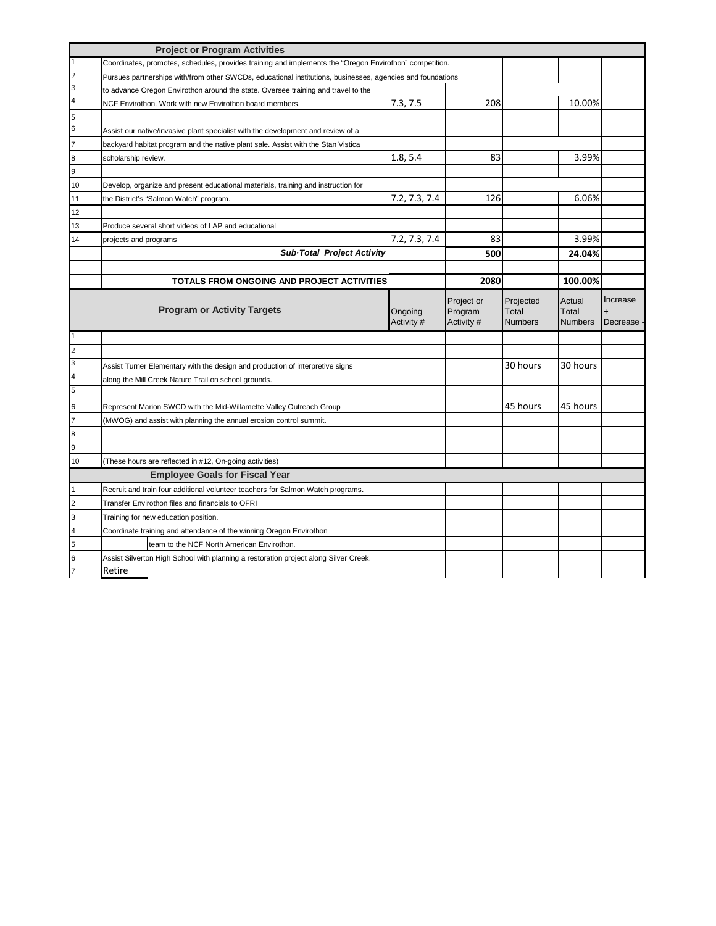|                | <b>Project or Program Activities</b>                                                                       |                       |                                     |                                      |                                   |                      |
|----------------|------------------------------------------------------------------------------------------------------------|-----------------------|-------------------------------------|--------------------------------------|-----------------------------------|----------------------|
|                | Coordinates, promotes, schedules, provides training and implements the "Oregon Envirothon" competition.    |                       |                                     |                                      |                                   |                      |
|                | Pursues partnerships with/from other SWCDs, educational institutions, businesses, agencies and foundations |                       |                                     |                                      |                                   |                      |
|                | to advance Oregon Envirothon around the state. Oversee training and travel to the                          |                       |                                     |                                      |                                   |                      |
| $\overline{4}$ | NCF Envirothon. Work with new Envirothon board members.                                                    | 7.3, 7.5              | 208                                 |                                      | 10.00%                            |                      |
| 5              |                                                                                                            |                       |                                     |                                      |                                   |                      |
| 6              | Assist our native/invasive plant specialist with the development and review of a                           |                       |                                     |                                      |                                   |                      |
|                | backyard habitat program and the native plant sale. Assist with the Stan Vistica                           |                       |                                     |                                      |                                   |                      |
| 8              | scholarship review.                                                                                        | 1.8, 5.4              | 83                                  |                                      | 3.99%                             |                      |
| 9              |                                                                                                            |                       |                                     |                                      |                                   |                      |
| 10             | Develop, organize and present educational materials, training and instruction for                          |                       |                                     |                                      |                                   |                      |
| 11             | the District's "Salmon Watch" program.                                                                     | 7.2, 7.3, 7.4         | 126                                 |                                      | 6.06%                             |                      |
| 12             |                                                                                                            |                       |                                     |                                      |                                   |                      |
| 13             | Produce several short videos of LAP and educational                                                        |                       |                                     |                                      |                                   |                      |
| 14             | projects and programs                                                                                      | 7.2, 7.3, 7.4         | 83                                  |                                      | 3.99%                             |                      |
|                | Sub-Total Project Activity                                                                                 |                       | 500                                 |                                      | 24.04%                            |                      |
|                |                                                                                                            |                       |                                     |                                      |                                   |                      |
|                | TOTALS FROM ONGOING AND PROJECT ACTIVITIES                                                                 |                       | 2080                                |                                      | 100.00%                           |                      |
|                | <b>Program or Activity Targets</b>                                                                         | Ongoing<br>Activity # | Project or<br>Program<br>Activity # | Projected<br>Total<br><b>Numbers</b> | Actual<br>Total<br><b>Numbers</b> | Increase<br>Decrease |
|                |                                                                                                            |                       |                                     |                                      |                                   |                      |
|                |                                                                                                            |                       |                                     |                                      |                                   |                      |
| 3              | Assist Turner Elementary with the design and production of interpretive signs                              |                       |                                     | 30 hours                             | 30 hours                          |                      |
| $\overline{4}$ | along the Mill Creek Nature Trail on school grounds.                                                       |                       |                                     |                                      |                                   |                      |
| 5              |                                                                                                            |                       |                                     |                                      |                                   |                      |
| 6              | Represent Marion SWCD with the Mid-Willamette Valley Outreach Group                                        |                       |                                     | 45 hours                             | 45 hours                          |                      |
|                | (MWOG) and assist with planning the annual erosion control summit.                                         |                       |                                     |                                      |                                   |                      |
| 8              |                                                                                                            |                       |                                     |                                      |                                   |                      |
| q              |                                                                                                            |                       |                                     |                                      |                                   |                      |
| 10             | (These hours are reflected in #12, On-going activities)                                                    |                       |                                     |                                      |                                   |                      |
|                | <b>Employee Goals for Fiscal Year</b>                                                                      |                       |                                     |                                      |                                   |                      |
|                | Recruit and train four additional volunteer teachers for Salmon Watch programs.                            |                       |                                     |                                      |                                   |                      |
| $\overline{c}$ | Transfer Envirothon files and financials to OFRI                                                           |                       |                                     |                                      |                                   |                      |
| 3              | Training for new education position.                                                                       |                       |                                     |                                      |                                   |                      |
| $\overline{4}$ | Coordinate training and attendance of the winning Oregon Envirothon                                        |                       |                                     |                                      |                                   |                      |
| 5              | team to the NCF North American Envirothon.                                                                 |                       |                                     |                                      |                                   |                      |
|                | Assist Silverton High School with planning a restoration project along Silver Creek.                       |                       |                                     |                                      |                                   |                      |
|                |                                                                                                            |                       |                                     |                                      |                                   |                      |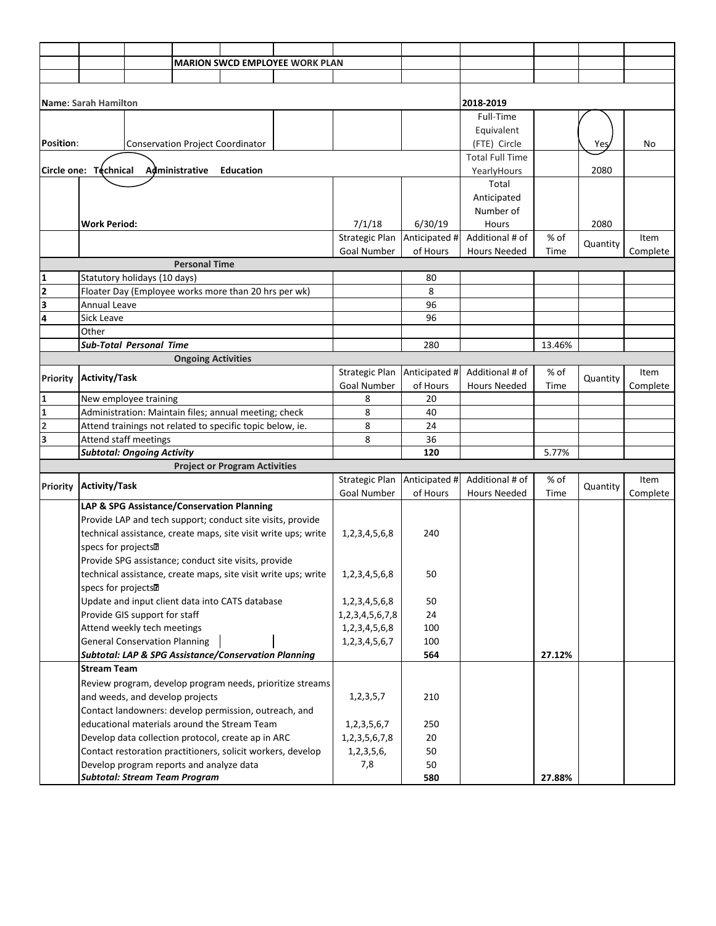|                         |                                 |                                      |                                          |                                                             | <b>MARION SWCD EMPLOYEE WORK PLAN</b>                          |                                               |               |                        |        |          |          |
|-------------------------|---------------------------------|--------------------------------------|------------------------------------------|-------------------------------------------------------------|----------------------------------------------------------------|-----------------------------------------------|---------------|------------------------|--------|----------|----------|
|                         |                                 |                                      |                                          |                                                             |                                                                |                                               |               |                        |        |          |          |
|                         |                                 |                                      |                                          |                                                             |                                                                |                                               |               |                        |        |          |          |
|                         | <b>Name: Sarah Hamilton</b>     |                                      |                                          |                                                             |                                                                |                                               |               | 2018-2019              |        |          |          |
|                         |                                 |                                      |                                          |                                                             |                                                                |                                               |               | Full-Time              |        |          |          |
|                         |                                 |                                      |                                          |                                                             |                                                                |                                               |               | Equivalent             |        |          |          |
| Position:               |                                 |                                      |                                          | <b>Conservation Project Coordinator</b>                     |                                                                |                                               |               | (FTE) Circle           |        | Yes,     | No       |
|                         |                                 |                                      |                                          |                                                             |                                                                |                                               |               | <b>Total Full Time</b> |        |          |          |
|                         | Circle one: Technical           |                                      | Administrative                           | <b>Education</b>                                            |                                                                |                                               |               | YearlyHours            |        | 2080     |          |
|                         |                                 |                                      |                                          |                                                             |                                                                |                                               |               | Total                  |        |          |          |
|                         |                                 |                                      |                                          |                                                             |                                                                |                                               |               | Anticipated            |        |          |          |
|                         |                                 |                                      |                                          |                                                             |                                                                |                                               |               | Number of              |        |          |          |
|                         | <b>Work Period:</b>             |                                      |                                          |                                                             |                                                                | 7/1/18                                        | 6/30/19       | Hours                  |        | 2080     |          |
|                         |                                 |                                      |                                          |                                                             |                                                                | <b>Strategic Plan</b>                         | Anticipated # | Additional # of        | % of   | Quantity | Item     |
|                         |                                 |                                      | <b>Personal Time</b>                     |                                                             |                                                                | Goal Number                                   | of Hours      | <b>Hours Needed</b>    | Time   |          | Complete |
| 1                       |                                 | Statutory holidays (10 days)         |                                          |                                                             |                                                                |                                               | 80            |                        |        |          |          |
| $\overline{\mathbf{2}}$ |                                 |                                      |                                          | Floater Day (Employee works more than 20 hrs per wk)        |                                                                |                                               | 8             |                        |        |          |          |
| 3                       | Annual Leave                    |                                      |                                          |                                                             |                                                                |                                               | 96            |                        |        |          |          |
| 4                       | Sick Leave                      |                                      |                                          |                                                             |                                                                |                                               | 96            |                        |        |          |          |
|                         | Other                           |                                      |                                          |                                                             |                                                                |                                               |               |                        |        |          |          |
|                         |                                 | <b>Sub-Total Personal Time</b>       |                                          |                                                             |                                                                |                                               | 280           |                        | 13.46% |          |          |
|                         |                                 |                                      | <b>Ongoing Activities</b>                |                                                             |                                                                |                                               |               |                        |        |          |          |
|                         |                                 |                                      |                                          |                                                             |                                                                | <b>Strategic Plan</b>                         | Anticipated # | Additional # of        | % of   |          | Item     |
| <b>Priority</b>         | <b>Activity/Task</b>            |                                      |                                          |                                                             |                                                                | Goal Number                                   | of Hours      | <b>Hours Needed</b>    | Time   | Quantity | Complete |
| $\mathbf{1}$            |                                 | New employee training                |                                          |                                                             |                                                                | 8                                             | 20            |                        |        |          |          |
| $\mathbf{1}$            |                                 |                                      |                                          | Administration: Maintain files; annual meeting; check       |                                                                | 8                                             | 40            |                        |        |          |          |
| $\overline{2}$          |                                 |                                      |                                          | Attend trainings not related to specific topic below, ie.   |                                                                | 8                                             | 24            |                        |        |          |          |
| 3                       |                                 | Attend staff meetings                |                                          |                                                             |                                                                | 8                                             | 36            |                        |        |          |          |
|                         |                                 | <b>Subtotal: Ongoing Activity</b>    |                                          |                                                             |                                                                |                                               | 120           |                        | 5.77%  |          |          |
|                         |                                 |                                      |                                          | <b>Project or Program Activities</b>                        |                                                                |                                               |               |                        |        |          |          |
| <b>Priority</b>         | <b>Activity/Task</b>            |                                      |                                          |                                                             |                                                                | <b>Strategic Plan</b>                         | Anticipated # | Additional # of        | % of   | Quantity | Item     |
|                         |                                 |                                      |                                          |                                                             |                                                                | <b>Goal Number</b>                            | of Hours      | <b>Hours Needed</b>    | Time   |          | Complete |
|                         |                                 |                                      |                                          | LAP & SPG Assistance/Conservation Planning                  |                                                                |                                               |               |                        |        |          |          |
|                         |                                 |                                      |                                          | Provide LAP and tech support; conduct site visits, provide  |                                                                |                                               |               |                        |        |          |          |
|                         |                                 |                                      |                                          |                                                             | technical assistance, create maps, site visit write ups; write | 1, 2, 3, 4, 5, 6, 8                           | 240           |                        |        |          |          |
|                         | specs for projects <sup>2</sup> |                                      |                                          |                                                             |                                                                |                                               |               |                        |        |          |          |
|                         |                                 |                                      |                                          | Provide SPG assistance; conduct site visits, provide        |                                                                |                                               |               |                        |        |          |          |
|                         |                                 |                                      |                                          |                                                             | technical assistance, create maps, site visit write ups; write | 1, 2, 3, 4, 5, 6, 8                           | 50            |                        |        |          |          |
|                         | specs for projects <sup>n</sup> |                                      |                                          | Update and input client data into CATS database             |                                                                |                                               |               |                        |        |          |          |
|                         |                                 | Provide GIS support for staff        |                                          |                                                             |                                                                | 1, 2, 3, 4, 5, 6, 8                           | 50<br>24      |                        |        |          |          |
|                         |                                 | Attend weekly tech meetings          |                                          |                                                             |                                                                | 1, 2, 3, 4, 5, 6, 7, 8<br>1, 2, 3, 4, 5, 6, 8 | 100           |                        |        |          |          |
|                         |                                 | <b>General Conservation Planning</b> |                                          |                                                             |                                                                | 1, 2, 3, 4, 5, 6, 7                           | 100           |                        |        |          |          |
|                         |                                 |                                      |                                          | Subtotal: LAP & SPG Assistance/Conservation Planning        |                                                                |                                               | 564           |                        | 27.12% |          |          |
|                         | <b>Stream Team</b>              |                                      |                                          |                                                             |                                                                |                                               |               |                        |        |          |          |
|                         |                                 |                                      |                                          |                                                             | Review program, develop program needs, prioritize streams      |                                               |               |                        |        |          |          |
|                         |                                 |                                      | and weeds, and develop projects          |                                                             |                                                                | 1, 2, 3, 5, 7                                 | 210           |                        |        |          |          |
|                         |                                 |                                      |                                          | Contact landowners: develop permission, outreach, and       |                                                                |                                               |               |                        |        |          |          |
|                         |                                 |                                      |                                          | educational materials around the Stream Team                |                                                                | 1, 2, 3, 5, 6, 7                              | 250           |                        |        |          |          |
|                         |                                 |                                      |                                          | Develop data collection protocol, create ap in ARC          |                                                                | 1, 2, 3, 5, 6, 7, 8                           | 20            |                        |        |          |          |
|                         |                                 |                                      |                                          | Contact restoration practitioners, solicit workers, develop |                                                                | 1,2,3,5,6,                                    | 50            |                        |        |          |          |
|                         |                                 |                                      | Develop program reports and analyze data |                                                             |                                                                | 7,8                                           | 50            |                        |        |          |          |
|                         |                                 |                                      | <b>Subtotal: Stream Team Program</b>     |                                                             |                                                                |                                               | 580           |                        | 27.88% |          |          |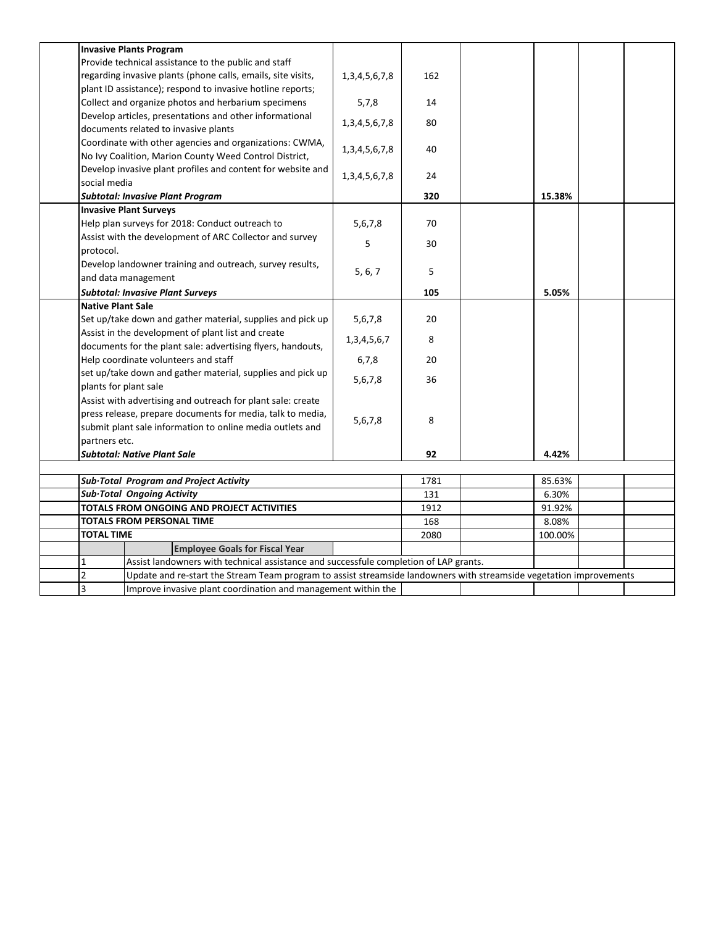|                          | <b>Invasive Plants Program</b>                                                                                      |                     |         |        |  |  |
|--------------------------|---------------------------------------------------------------------------------------------------------------------|---------------------|---------|--------|--|--|
|                          | Provide technical assistance to the public and staff                                                                |                     |         |        |  |  |
|                          | regarding invasive plants (phone calls, emails, site visits,                                                        | 1, 3, 4, 5, 6, 7, 8 | 162     |        |  |  |
|                          | plant ID assistance); respond to invasive hotline reports;                                                          |                     |         |        |  |  |
|                          | Collect and organize photos and herbarium specimens                                                                 | 5,7,8               | 14      |        |  |  |
|                          | Develop articles, presentations and other informational                                                             | 1, 3, 4, 5, 6, 7, 8 | 80      |        |  |  |
|                          | documents related to invasive plants                                                                                |                     |         |        |  |  |
|                          | Coordinate with other agencies and organizations: CWMA,                                                             | 1, 3, 4, 5, 6, 7, 8 | 40      |        |  |  |
|                          | No Ivy Coalition, Marion County Weed Control District,                                                              |                     |         |        |  |  |
|                          | Develop invasive plant profiles and content for website and                                                         | 1, 3, 4, 5, 6, 7, 8 | 24      |        |  |  |
| social media             |                                                                                                                     |                     |         |        |  |  |
|                          | <b>Subtotal: Invasive Plant Program</b>                                                                             |                     | 320     | 15.38% |  |  |
|                          | <b>Invasive Plant Surveys</b>                                                                                       |                     |         |        |  |  |
|                          | Help plan surveys for 2018: Conduct outreach to                                                                     | 5,6,7,8             | 70      |        |  |  |
|                          | Assist with the development of ARC Collector and survey                                                             | 5                   | 30      |        |  |  |
| protocol.                |                                                                                                                     |                     |         |        |  |  |
|                          | Develop landowner training and outreach, survey results,                                                            | 5, 6, 7             | 5       |        |  |  |
|                          | and data management                                                                                                 |                     |         |        |  |  |
|                          | <b>Subtotal: Invasive Plant Surveys</b>                                                                             |                     | 105     | 5.05%  |  |  |
| <b>Native Plant Sale</b> |                                                                                                                     |                     |         |        |  |  |
|                          | Set up/take down and gather material, supplies and pick up                                                          | 5,6,7,8             | 20      |        |  |  |
|                          | Assist in the development of plant list and create                                                                  | 1, 3, 4, 5, 6, 7    | 8       |        |  |  |
|                          | documents for the plant sale: advertising flyers, handouts,                                                         |                     |         |        |  |  |
|                          | Help coordinate volunteers and staff                                                                                | 6,7,8               | 20      |        |  |  |
| plants for plant sale    | set up/take down and gather material, supplies and pick up                                                          | 5,6,7,8             | 36      |        |  |  |
|                          | Assist with advertising and outreach for plant sale: create                                                         |                     |         |        |  |  |
|                          | press release, prepare documents for media, talk to media,                                                          |                     |         |        |  |  |
|                          | submit plant sale information to online media outlets and                                                           | 5,6,7,8             | 8       |        |  |  |
| partners etc.            |                                                                                                                     |                     |         |        |  |  |
|                          | <b>Subtotal: Native Plant Sale</b>                                                                                  |                     | 92      | 4.42%  |  |  |
|                          |                                                                                                                     |                     |         |        |  |  |
|                          | Sub-Total Program and Project Activity                                                                              |                     | 1781    | 85.63% |  |  |
|                          | Sub-Total Ongoing Activity                                                                                          |                     | 131     | 6.30%  |  |  |
|                          | TOTALS FROM ONGOING AND PROJECT ACTIVITIES                                                                          | 1912                | 91.92%  |        |  |  |
|                          | TOTALS FROM PERSONAL TIME                                                                                           | 168                 | 8.08%   |        |  |  |
| <b>TOTAL TIME</b>        |                                                                                                                     | 2080                | 100.00% |        |  |  |
|                          | <b>Employee Goals for Fiscal Year</b>                                                                               |                     |         |        |  |  |
| $\mathbf{1}$             | Assist landowners with technical assistance and successfule completion of LAP grants.                               |                     |         |        |  |  |
| $\overline{2}$           | Update and re-start the Stream Team program to assist streamside landowners with streamside vegetation improvements |                     |         |        |  |  |
| 3                        | Improve invasive plant coordination and management within the                                                       |                     |         |        |  |  |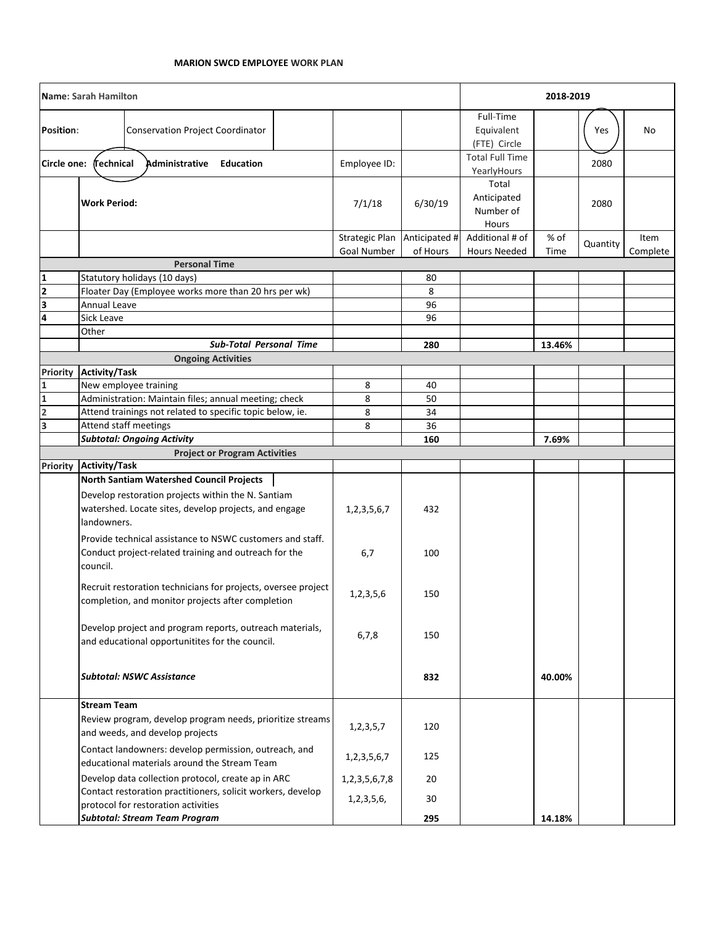|                                | <b>Name: Sarah Hamilton</b> |                                                                                                                    |                               | 2018-2019                 |                                            |              |          |                  |
|--------------------------------|-----------------------------|--------------------------------------------------------------------------------------------------------------------|-------------------------------|---------------------------|--------------------------------------------|--------------|----------|------------------|
| <b>Position:</b>               |                             | <b>Conservation Project Coordinator</b>                                                                            |                               |                           | Full-Time<br>Equivalent<br>(FTE) Circle    |              | Yes      | No               |
| Circle one:                    | <b>Technical</b>            | Administrative<br>Education                                                                                        | Employee ID:                  |                           | <b>Total Full Time</b><br>YearlyHours      |              | 2080     |                  |
|                                | <b>Work Period:</b>         |                                                                                                                    | 7/1/18                        | 6/30/19                   | Total<br>Anticipated<br>Number of<br>Hours |              | 2080     |                  |
|                                |                             |                                                                                                                    | Strategic Plan<br>Goal Number | Anticipated #<br>of Hours | Additional # of<br><b>Hours Needed</b>     | % of<br>Time | Quantity | Item<br>Complete |
|                                |                             | <b>Personal Time</b>                                                                                               |                               |                           |                                            |              |          |                  |
| 1                              |                             | Statutory holidays (10 days)                                                                                       |                               | 80                        |                                            |              |          |                  |
| $\overline{\mathbf{z}}$        |                             | Floater Day (Employee works more than 20 hrs per wk)                                                               |                               | 8                         |                                            |              |          |                  |
| 3                              | Annual Leave                |                                                                                                                    |                               | 96                        |                                            |              |          |                  |
| $\overline{\mathbf{4}}$        | Sick Leave                  |                                                                                                                    |                               | 96                        |                                            |              |          |                  |
|                                | Other                       |                                                                                                                    |                               |                           |                                            |              |          |                  |
|                                |                             | <b>Sub-Total Personal Time</b>                                                                                     |                               | 280                       |                                            | 13.46%       |          |                  |
|                                |                             | <b>Ongoing Activities</b>                                                                                          |                               |                           |                                            |              |          |                  |
| <b>Priority</b><br>$\mathbf 1$ | <b>Activity/Task</b>        | New employee training                                                                                              | 8                             | 40                        |                                            |              |          |                  |
| $\overline{\mathbf{1}}$        |                             | Administration: Maintain files; annual meeting; check                                                              | 8                             | 50                        |                                            |              |          |                  |
| $\overline{2}$                 |                             | Attend trainings not related to specific topic below, ie.                                                          | 8                             | 34                        |                                            |              |          |                  |
| 3                              |                             | Attend staff meetings                                                                                              | 8                             | 36                        |                                            |              |          |                  |
|                                |                             | <b>Subtotal: Ongoing Activity</b>                                                                                  |                               | 160                       |                                            | 7.69%        |          |                  |
|                                |                             | <b>Project or Program Activities</b>                                                                               |                               |                           |                                            |              |          |                  |
| <b>Priority</b>                | <b>Activity/Task</b>        |                                                                                                                    |                               |                           |                                            |              |          |                  |
|                                |                             | North Santiam Watershed Council Projects                                                                           |                               |                           |                                            |              |          |                  |
|                                | landowners.                 | Develop restoration projects within the N. Santiam<br>watershed. Locate sites, develop projects, and engage        | 1, 2, 3, 5, 6, 7              | 432                       |                                            |              |          |                  |
|                                | council.                    | Provide technical assistance to NSWC customers and staff.<br>Conduct project-related training and outreach for the | 6,7                           | 100                       |                                            |              |          |                  |
|                                |                             | Recruit restoration technicians for projects, oversee project<br>completion, and monitor projects after completion | 1,2,3,5,6                     | 150                       |                                            |              |          |                  |
|                                |                             | Develop project and program reports, outreach materials,<br>and educational opportunitites for the council.        | 6,7,8                         | 150                       |                                            |              |          |                  |
|                                |                             | <b>Subtotal: NSWC Assistance</b>                                                                                   |                               | 832                       |                                            | 40.00%       |          |                  |
|                                | <b>Stream Team</b>          |                                                                                                                    |                               |                           |                                            |              |          |                  |
|                                |                             | Review program, develop program needs, prioritize streams<br>and weeds, and develop projects                       | 1, 2, 3, 5, 7                 | 120                       |                                            |              |          |                  |
|                                |                             | Contact landowners: develop permission, outreach, and<br>educational materials around the Stream Team              | 1, 2, 3, 5, 6, 7              | 125                       |                                            |              |          |                  |
|                                |                             | Develop data collection protocol, create ap in ARC                                                                 | 1, 2, 3, 5, 6, 7, 8           | 20                        |                                            |              |          |                  |
|                                |                             | Contact restoration practitioners, solicit workers, develop<br>protocol for restoration activities                 | 1,2,3,5,6,                    | 30                        |                                            |              |          |                  |
|                                |                             | <b>Subtotal: Stream Team Program</b>                                                                               |                               | 295                       |                                            | 14.18%       |          |                  |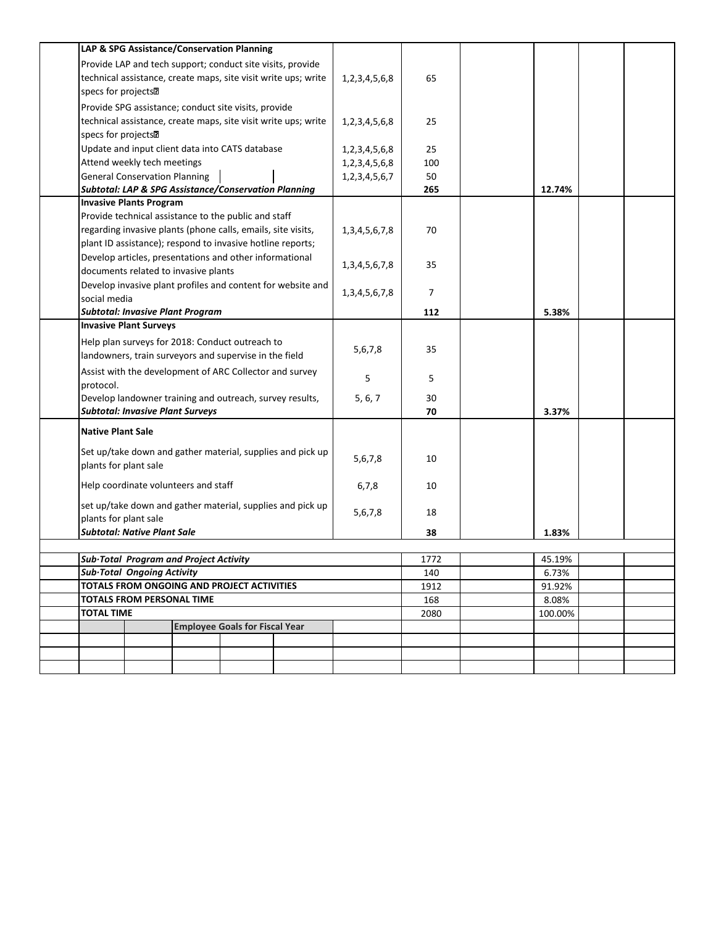|                                                                                                   |                                      |                                         | LAP & SPG Assistance/Conservation Planning                     |                                                             |                     |      |         |  |
|---------------------------------------------------------------------------------------------------|--------------------------------------|-----------------------------------------|----------------------------------------------------------------|-------------------------------------------------------------|---------------------|------|---------|--|
|                                                                                                   |                                      |                                         | Provide LAP and tech support; conduct site visits, provide     |                                                             |                     |      |         |  |
|                                                                                                   |                                      |                                         | technical assistance, create maps, site visit write ups; write |                                                             | 1, 2, 3, 4, 5, 6, 8 | 65   |         |  |
| specs for projects <sup>2</sup>                                                                   |                                      |                                         |                                                                |                                                             |                     |      |         |  |
| Provide SPG assistance; conduct site visits, provide                                              |                                      |                                         |                                                                |                                                             |                     |      |         |  |
|                                                                                                   |                                      |                                         |                                                                |                                                             | 1,2,3,4,5,6,8       | 25   |         |  |
| technical assistance, create maps, site visit write ups; write<br>specs for projects <sup>n</sup> |                                      |                                         |                                                                |                                                             |                     |      |         |  |
|                                                                                                   |                                      |                                         | Update and input client data into CATS database                |                                                             | 1, 2, 3, 4, 5, 6, 8 | 25   |         |  |
|                                                                                                   | Attend weekly tech meetings          |                                         |                                                                |                                                             | 1,2,3,4,5,6,8       | 100  |         |  |
|                                                                                                   | <b>General Conservation Planning</b> |                                         |                                                                |                                                             | 1, 2, 3, 4, 5, 6, 7 | 50   |         |  |
|                                                                                                   |                                      |                                         | Subtotal: LAP & SPG Assistance/Conservation Planning           |                                                             |                     | 265  | 12.74%  |  |
|                                                                                                   | <b>Invasive Plants Program</b>       |                                         |                                                                |                                                             |                     |      |         |  |
|                                                                                                   |                                      |                                         | Provide technical assistance to the public and staff           |                                                             |                     |      |         |  |
|                                                                                                   |                                      |                                         | regarding invasive plants (phone calls, emails, site visits,   |                                                             | 1, 3, 4, 5, 6, 7, 8 | 70   |         |  |
|                                                                                                   |                                      |                                         | plant ID assistance); respond to invasive hotline reports;     |                                                             |                     |      |         |  |
| Develop articles, presentations and other informational                                           |                                      |                                         |                                                                |                                                             | 1, 3, 4, 5, 6, 7, 8 | 35   |         |  |
|                                                                                                   |                                      | documents related to invasive plants    |                                                                |                                                             |                     |      |         |  |
|                                                                                                   |                                      |                                         |                                                                | Develop invasive plant profiles and content for website and | 1, 3, 4, 5, 6, 7, 8 | 7    |         |  |
| social media                                                                                      |                                      |                                         |                                                                |                                                             |                     |      |         |  |
|                                                                                                   |                                      | <b>Subtotal: Invasive Plant Program</b> |                                                                |                                                             |                     | 112  | 5.38%   |  |
|                                                                                                   | <b>Invasive Plant Surveys</b>        |                                         |                                                                |                                                             |                     |      |         |  |
|                                                                                                   |                                      |                                         | Help plan surveys for 2018: Conduct outreach to                |                                                             |                     | 35   |         |  |
| landowners, train surveyors and supervise in the field                                            |                                      |                                         |                                                                | 5,6,7,8                                                     |                     |      |         |  |
|                                                                                                   |                                      |                                         | Assist with the development of ARC Collector and survey        |                                                             |                     |      |         |  |
| protocol.                                                                                         |                                      |                                         |                                                                |                                                             | 5                   | 5    |         |  |
|                                                                                                   |                                      |                                         | Develop landowner training and outreach, survey results,       |                                                             | 5, 6, 7             | 30   |         |  |
|                                                                                                   |                                      | <b>Subtotal: Invasive Plant Surveys</b> |                                                                |                                                             |                     | 70   | 3.37%   |  |
| <b>Native Plant Sale</b>                                                                          |                                      |                                         |                                                                |                                                             |                     |      |         |  |
|                                                                                                   |                                      |                                         |                                                                |                                                             |                     |      |         |  |
|                                                                                                   |                                      |                                         |                                                                | Set up/take down and gather material, supplies and pick up  | 5,6,7,8             | 10   |         |  |
| plants for plant sale                                                                             |                                      |                                         |                                                                |                                                             |                     |      |         |  |
|                                                                                                   |                                      | Help coordinate volunteers and staff    |                                                                |                                                             | 6,7,8               | 10   |         |  |
|                                                                                                   |                                      |                                         |                                                                | set up/take down and gather material, supplies and pick up  |                     |      |         |  |
| plants for plant sale                                                                             |                                      |                                         |                                                                |                                                             | 5,6,7,8             | 18   |         |  |
|                                                                                                   | <b>Subtotal: Native Plant Sale</b>   |                                         |                                                                |                                                             |                     | 38   | 1.83%   |  |
|                                                                                                   |                                      |                                         |                                                                |                                                             |                     |      |         |  |
|                                                                                                   |                                      | Sub-Total Program and Project Activity  |                                                                |                                                             |                     | 1772 | 45.19%  |  |
|                                                                                                   | Sub-Total Ongoing Activity           |                                         |                                                                |                                                             |                     | 140  | 6.73%   |  |
|                                                                                                   |                                      |                                         | TOTALS FROM ONGOING AND PROJECT ACTIVITIES                     |                                                             |                     | 1912 | 91.92%  |  |
|                                                                                                   | <b>TOTALS FROM PERSONAL TIME</b>     |                                         |                                                                |                                                             |                     | 168  | 8.08%   |  |
| <b>TOTAL TIME</b>                                                                                 |                                      |                                         |                                                                |                                                             |                     | 2080 | 100.00% |  |
|                                                                                                   |                                      |                                         | <b>Employee Goals for Fiscal Year</b>                          |                                                             |                     |      |         |  |
|                                                                                                   |                                      |                                         |                                                                |                                                             |                     |      |         |  |
|                                                                                                   |                                      |                                         |                                                                |                                                             |                     |      |         |  |
|                                                                                                   |                                      |                                         |                                                                |                                                             |                     |      |         |  |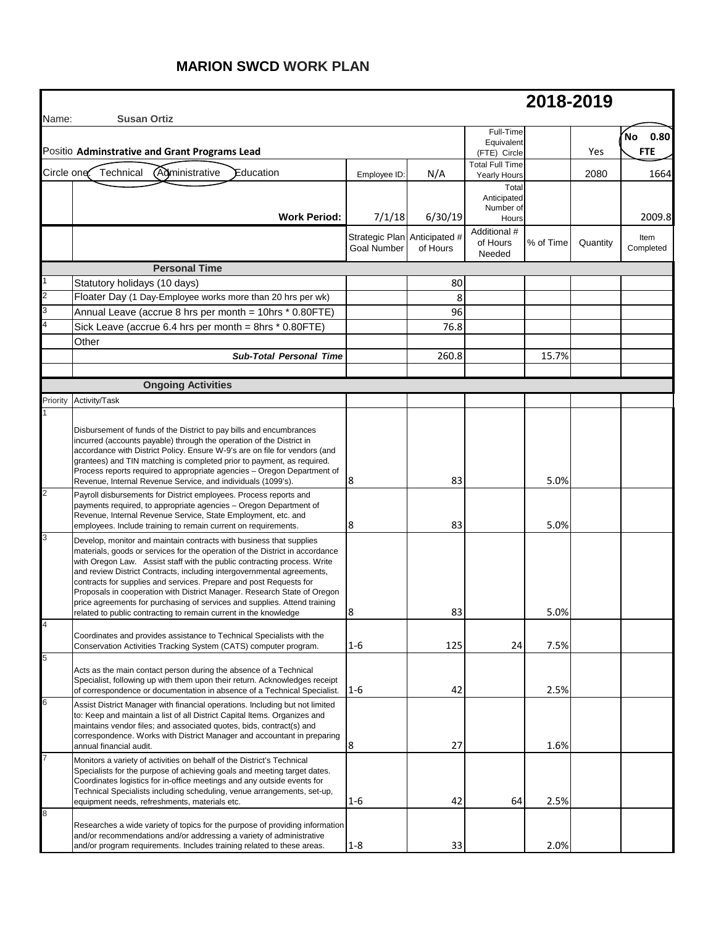## **MARION SWCD WORK PLAN**

|            |                                                                                                                                                                                                                                                                                                                                                                                                                                                                                                                                                                                                                                                                                                                                                                                                                                                                                                                                                                                                                                                                                                                                                                                                                                                                                                                                                                                                                                                                                          |                                                    |                                  |                                            | 2018-2019                    |          |                           |
|------------|------------------------------------------------------------------------------------------------------------------------------------------------------------------------------------------------------------------------------------------------------------------------------------------------------------------------------------------------------------------------------------------------------------------------------------------------------------------------------------------------------------------------------------------------------------------------------------------------------------------------------------------------------------------------------------------------------------------------------------------------------------------------------------------------------------------------------------------------------------------------------------------------------------------------------------------------------------------------------------------------------------------------------------------------------------------------------------------------------------------------------------------------------------------------------------------------------------------------------------------------------------------------------------------------------------------------------------------------------------------------------------------------------------------------------------------------------------------------------------------|----------------------------------------------------|----------------------------------|--------------------------------------------|------------------------------|----------|---------------------------|
| Name:      | <b>Susan Ortiz</b><br>Positic Adminstrative and Grant Programs Lead                                                                                                                                                                                                                                                                                                                                                                                                                                                                                                                                                                                                                                                                                                                                                                                                                                                                                                                                                                                                                                                                                                                                                                                                                                                                                                                                                                                                                      |                                                    |                                  | Full-Time<br>Equivalent<br>(FTE) Circle    |                              | Yes      | 0.80<br>'No<br><b>FTE</b> |
| Circle one | <b>Administrative</b><br>Technical<br>Education                                                                                                                                                                                                                                                                                                                                                                                                                                                                                                                                                                                                                                                                                                                                                                                                                                                                                                                                                                                                                                                                                                                                                                                                                                                                                                                                                                                                                                          | Employee ID                                        | N/A                              | <b>Total Full Time</b><br>Yearly Hours     |                              | 2080     | 1664                      |
|            | <b>Work Period:</b>                                                                                                                                                                                                                                                                                                                                                                                                                                                                                                                                                                                                                                                                                                                                                                                                                                                                                                                                                                                                                                                                                                                                                                                                                                                                                                                                                                                                                                                                      | 7/1/18                                             | 6/30/19                          | Total<br>Anticipated<br>Number of<br>Hours |                              |          | 2009.8                    |
|            |                                                                                                                                                                                                                                                                                                                                                                                                                                                                                                                                                                                                                                                                                                                                                                                                                                                                                                                                                                                                                                                                                                                                                                                                                                                                                                                                                                                                                                                                                          | Strategic Plan Anticipated #<br><b>Goal Number</b> | of Hours                         | Additional #<br>of Hours<br>Needed         | % of Time                    | Quantity | Item<br>Completed         |
|            | <b>Personal Time</b>                                                                                                                                                                                                                                                                                                                                                                                                                                                                                                                                                                                                                                                                                                                                                                                                                                                                                                                                                                                                                                                                                                                                                                                                                                                                                                                                                                                                                                                                     |                                                    |                                  |                                            |                              |          |                           |
|            | Statutory holidays (10 days)                                                                                                                                                                                                                                                                                                                                                                                                                                                                                                                                                                                                                                                                                                                                                                                                                                                                                                                                                                                                                                                                                                                                                                                                                                                                                                                                                                                                                                                             |                                                    | 80                               |                                            |                              |          |                           |
|            | Floater Day (1 Day-Employee works more than 20 hrs per wk)                                                                                                                                                                                                                                                                                                                                                                                                                                                                                                                                                                                                                                                                                                                                                                                                                                                                                                                                                                                                                                                                                                                                                                                                                                                                                                                                                                                                                               |                                                    | 8                                |                                            |                              |          |                           |
|            | Annual Leave (accrue 8 hrs per month = 10hrs * 0.80FTE)                                                                                                                                                                                                                                                                                                                                                                                                                                                                                                                                                                                                                                                                                                                                                                                                                                                                                                                                                                                                                                                                                                                                                                                                                                                                                                                                                                                                                                  |                                                    | 96                               |                                            |                              |          |                           |
|            | Sick Leave (accrue 6.4 hrs per month = 8hrs * 0.80FTE)                                                                                                                                                                                                                                                                                                                                                                                                                                                                                                                                                                                                                                                                                                                                                                                                                                                                                                                                                                                                                                                                                                                                                                                                                                                                                                                                                                                                                                   |                                                    | 76.8                             |                                            |                              |          |                           |
|            | Other                                                                                                                                                                                                                                                                                                                                                                                                                                                                                                                                                                                                                                                                                                                                                                                                                                                                                                                                                                                                                                                                                                                                                                                                                                                                                                                                                                                                                                                                                    |                                                    |                                  |                                            |                              |          |                           |
|            | <b>Sub-Total Personal Time</b>                                                                                                                                                                                                                                                                                                                                                                                                                                                                                                                                                                                                                                                                                                                                                                                                                                                                                                                                                                                                                                                                                                                                                                                                                                                                                                                                                                                                                                                           |                                                    | 260.8                            |                                            | 15.7%                        |          |                           |
|            | <b>Ongoing Activities</b>                                                                                                                                                                                                                                                                                                                                                                                                                                                                                                                                                                                                                                                                                                                                                                                                                                                                                                                                                                                                                                                                                                                                                                                                                                                                                                                                                                                                                                                                |                                                    |                                  |                                            |                              |          |                           |
| Priority   | Activity/Task                                                                                                                                                                                                                                                                                                                                                                                                                                                                                                                                                                                                                                                                                                                                                                                                                                                                                                                                                                                                                                                                                                                                                                                                                                                                                                                                                                                                                                                                            |                                                    |                                  |                                            |                              |          |                           |
| 3          | Disbursement of funds of the District to pay bills and encumbrances<br>incurred (accounts payable) through the operation of the District in<br>accordance with District Policy. Ensure W-9's are on file for vendors (and<br>grantees) and TIN matching is completed prior to payment, as required.<br>Process reports required to appropriate agencies - Oregon Department of<br>Revenue, Internal Revenue Service, and individuals (1099's).<br>Payroll disbursements for District employees. Process reports and<br>payments required, to appropriate agencies - Oregon Department of<br>Revenue, Internal Revenue Service, State Employment, etc. and<br>employees. Include training to remain current on requirements.<br>Develop, monitor and maintain contracts with business that supplies<br>materials, goods or services for the operation of the District in accordance<br>with Oregon Law. Assist staff with the public contracting process. Write<br>and review District Contracts, including intergovernmental agreements,<br>contracts for supplies and services. Prepare and post Requests for<br>Proposals in cooperation with District Manager. Research State of Oregon<br>price agreements for purchasing of services and supplies. Attend training<br>related to public contracting to remain current in the knowledge<br>Coordinates and provides assistance to Technical Specialists with the<br>Conservation Activities Tracking System (CATS) computer program. | 18<br>8<br>l۶<br>$1-6$                             | 83<br>83<br>$\Omega$<br>ິ<br>125 | 24                                         | 5.0%<br>5.0%<br>5.0%<br>7.5% |          |                           |
| 5          | Acts as the main contact person during the absence of a Technical<br>Specialist, following up with them upon their return. Acknowledges receipt<br>of correspondence or documentation in absence of a Technical Specialist. 1-6                                                                                                                                                                                                                                                                                                                                                                                                                                                                                                                                                                                                                                                                                                                                                                                                                                                                                                                                                                                                                                                                                                                                                                                                                                                          |                                                    | 42                               |                                            | 2.5%                         |          |                           |
| 6          | Assist District Manager with financial operations. Including but not limited<br>to: Keep and maintain a list of all District Capital Items. Organizes and<br>maintains vendor files; and associated quotes, bids, contract(s) and<br>correspondence. Works with District Manager and accountant in preparing<br>annual financial audit.                                                                                                                                                                                                                                                                                                                                                                                                                                                                                                                                                                                                                                                                                                                                                                                                                                                                                                                                                                                                                                                                                                                                                  | 8                                                  | 27                               |                                            | 1.6%                         |          |                           |
|            | Monitors a variety of activities on behalf of the District's Technical<br>Specialists for the purpose of achieving goals and meeting target dates.<br>Coordinates logistics for in-office meetings and any outside events for<br>Technical Specialists including scheduling, venue arrangements, set-up,<br>equipment needs, refreshments, materials etc.                                                                                                                                                                                                                                                                                                                                                                                                                                                                                                                                                                                                                                                                                                                                                                                                                                                                                                                                                                                                                                                                                                                                | $1-6$                                              | 42                               | 64                                         | 2.5%                         |          |                           |
| 8          | Researches a wide variety of topics for the purpose of providing information<br>and/or recommendations and/or addressing a variety of administrative<br>and/or program requirements. Includes training related to these areas.                                                                                                                                                                                                                                                                                                                                                                                                                                                                                                                                                                                                                                                                                                                                                                                                                                                                                                                                                                                                                                                                                                                                                                                                                                                           | $1 - 8$                                            | 33                               |                                            | 2.0%                         |          |                           |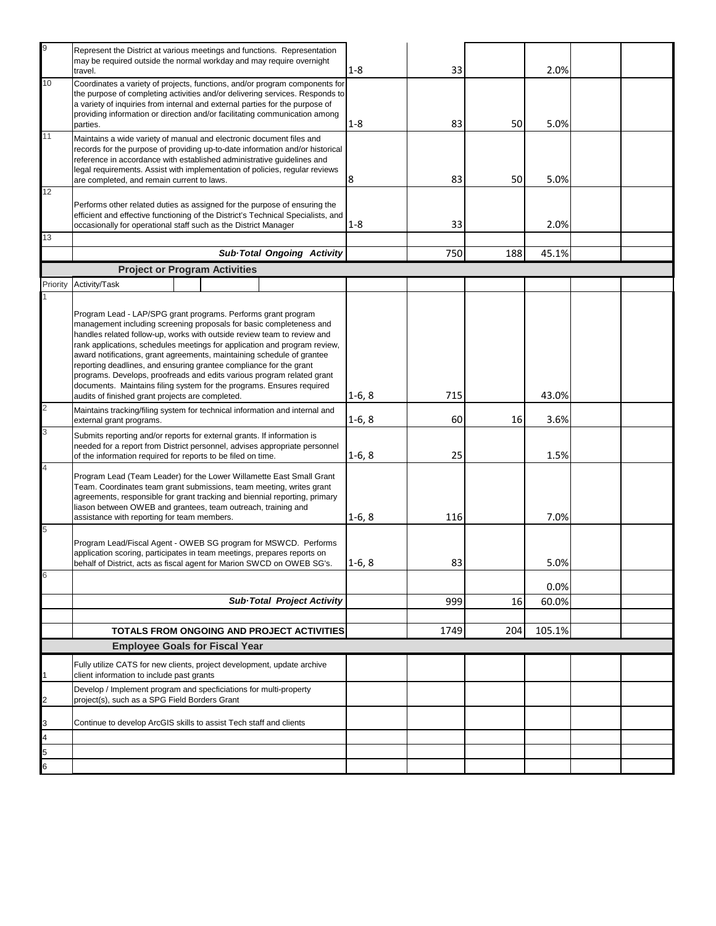| 9              | Represent the District at various meetings and functions. Representation<br>may be required outside the normal workday and may require overnight<br>travel.                                                                                                                                                                                                                                                                                                                                                                                                                                                                                         | $1 - 8$  | 33   |     | 2.0%   |  |
|----------------|-----------------------------------------------------------------------------------------------------------------------------------------------------------------------------------------------------------------------------------------------------------------------------------------------------------------------------------------------------------------------------------------------------------------------------------------------------------------------------------------------------------------------------------------------------------------------------------------------------------------------------------------------------|----------|------|-----|--------|--|
| 10             | Coordinates a variety of projects, functions, and/or program components for<br>the purpose of completing activities and/or delivering services. Responds to<br>a variety of inquiries from internal and external parties for the purpose of<br>providing information or direction and/or facilitating communication among                                                                                                                                                                                                                                                                                                                           |          |      |     |        |  |
|                | parties.                                                                                                                                                                                                                                                                                                                                                                                                                                                                                                                                                                                                                                            | $1 - 8$  | 83   | 50  | 5.0%   |  |
| 11             | Maintains a wide variety of manual and electronic document files and<br>records for the purpose of providing up-to-date information and/or historical<br>reference in accordance with established administrative guidelines and<br>legal requirements. Assist with implementation of policies, regular reviews<br>are completed, and remain current to laws.                                                                                                                                                                                                                                                                                        | 8        | 83   | 50  | 5.0%   |  |
| 12             |                                                                                                                                                                                                                                                                                                                                                                                                                                                                                                                                                                                                                                                     |          |      |     |        |  |
|                | Performs other related duties as assigned for the purpose of ensuring the<br>efficient and effective functioning of the District's Technical Specialists, and<br>occasionally for operational staff such as the District Manager                                                                                                                                                                                                                                                                                                                                                                                                                    | $1 - 8$  | 33   |     | 2.0%   |  |
| 13             |                                                                                                                                                                                                                                                                                                                                                                                                                                                                                                                                                                                                                                                     |          |      |     |        |  |
|                | Sub-Total Ongoing Activity                                                                                                                                                                                                                                                                                                                                                                                                                                                                                                                                                                                                                          |          | 750  | 188 | 45.1%  |  |
| Priority       | <b>Project or Program Activities</b><br>Activity/Task                                                                                                                                                                                                                                                                                                                                                                                                                                                                                                                                                                                               |          |      |     |        |  |
|                |                                                                                                                                                                                                                                                                                                                                                                                                                                                                                                                                                                                                                                                     |          |      |     |        |  |
|                | Program Lead - LAP/SPG grant programs. Performs grant program<br>management including screening proposals for basic completeness and<br>handles related follow-up, works with outside review team to review and<br>rank applications, schedules meetings for application and program review,<br>award notifications, grant agreements, maintaining schedule of grantee<br>reporting deadlines, and ensuring grantee compliance for the grant<br>programs. Develops, proofreads and edits various program related grant<br>documents. Maintains filing system for the programs. Ensures required<br>audits of finished grant projects are completed. | $1-6, 8$ | 715  |     | 43.0%  |  |
| $\overline{2}$ | Maintains tracking/filing system for technical information and internal and<br>external grant programs.                                                                                                                                                                                                                                                                                                                                                                                                                                                                                                                                             | $1-6, 8$ | 60   | 16  | 3.6%   |  |
| 3              | Submits reporting and/or reports for external grants. If information is<br>needed for a report from District personnel, advises appropriate personnel<br>of the information required for reports to be filed on time.                                                                                                                                                                                                                                                                                                                                                                                                                               | $1-6, 8$ | 25   |     | 1.5%   |  |
| $\overline{4}$ | Program Lead (Team Leader) for the Lower Willamette East Small Grant<br>Team. Coordinates team grant submissions, team meeting, writes grant<br>agreements, responsible for grant tracking and biennial reporting, primary<br>liason between OWEB and grantees, team outreach, training and                                                                                                                                                                                                                                                                                                                                                         |          |      |     |        |  |
| 5              | assistance with reporting for team members.                                                                                                                                                                                                                                                                                                                                                                                                                                                                                                                                                                                                         | $1-6, 8$ | 116  |     | 7.0%   |  |
|                | Program Lead/Fiscal Agent - OWEB SG program for MSWCD. Performs<br>application scoring, participates in team meetings, prepares reports on<br>behalf of District, acts as fiscal agent for Marion SWCD on OWEB SG's.                                                                                                                                                                                                                                                                                                                                                                                                                                | $1-6, 8$ | 83   |     | 5.0%   |  |
| 6              |                                                                                                                                                                                                                                                                                                                                                                                                                                                                                                                                                                                                                                                     |          |      |     | 0.0%   |  |
|                | Sub-Total Project Activity                                                                                                                                                                                                                                                                                                                                                                                                                                                                                                                                                                                                                          |          | 999  | 16  | 60.0%  |  |
|                |                                                                                                                                                                                                                                                                                                                                                                                                                                                                                                                                                                                                                                                     |          |      |     |        |  |
|                | TOTALS FROM ONGOING AND PROJECT ACTIVITIES                                                                                                                                                                                                                                                                                                                                                                                                                                                                                                                                                                                                          |          | 1749 | 204 | 105.1% |  |
|                | <b>Employee Goals for Fiscal Year</b>                                                                                                                                                                                                                                                                                                                                                                                                                                                                                                                                                                                                               |          |      |     |        |  |
|                | Fully utilize CATS for new clients, project development, update archive<br>client information to include past grants                                                                                                                                                                                                                                                                                                                                                                                                                                                                                                                                |          |      |     |        |  |
| $\overline{2}$ | Develop / Implement program and specficiations for multi-property<br>project(s), such as a SPG Field Borders Grant                                                                                                                                                                                                                                                                                                                                                                                                                                                                                                                                  |          |      |     |        |  |
| 3              | Continue to develop ArcGIS skills to assist Tech staff and clients                                                                                                                                                                                                                                                                                                                                                                                                                                                                                                                                                                                  |          |      |     |        |  |
| 4              |                                                                                                                                                                                                                                                                                                                                                                                                                                                                                                                                                                                                                                                     |          |      |     |        |  |
| 5<br>6         |                                                                                                                                                                                                                                                                                                                                                                                                                                                                                                                                                                                                                                                     |          |      |     |        |  |
|                |                                                                                                                                                                                                                                                                                                                                                                                                                                                                                                                                                                                                                                                     |          |      |     |        |  |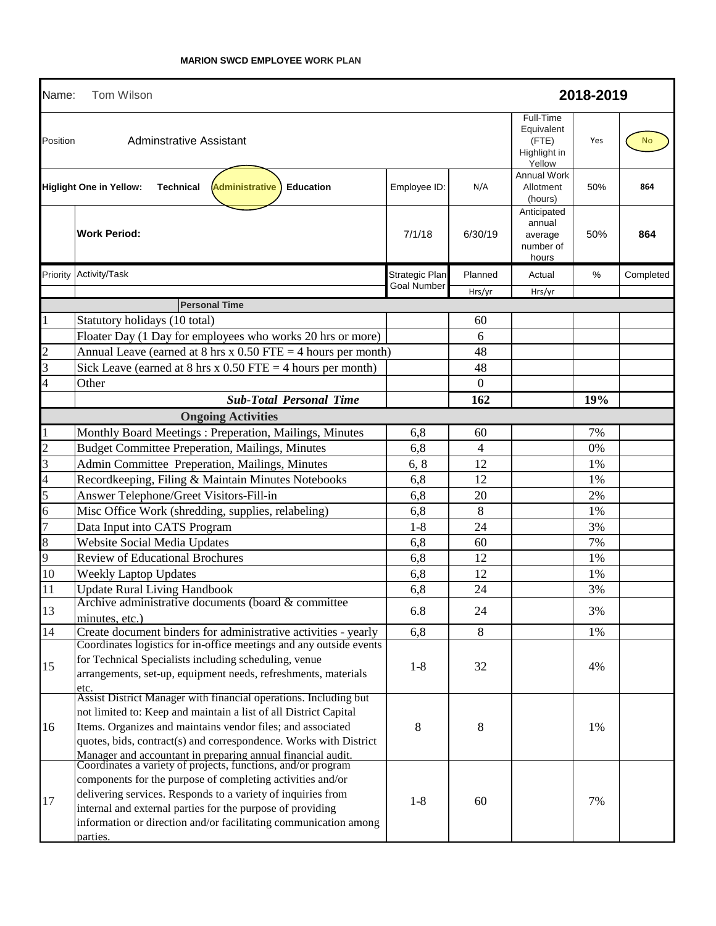| Name:          | <b>Tom Wilson</b>                                                                                                                                                                                                                                                                                                                                                                                       |                    | 2018-2019 |                                                            |     |           |  |
|----------------|---------------------------------------------------------------------------------------------------------------------------------------------------------------------------------------------------------------------------------------------------------------------------------------------------------------------------------------------------------------------------------------------------------|--------------------|-----------|------------------------------------------------------------|-----|-----------|--|
| Position       | Adminstrative Assistant                                                                                                                                                                                                                                                                                                                                                                                 |                    |           | Full-Time<br>Equivalent<br>(FTE)<br>Highlight in<br>Yellow | Yes | <b>No</b> |  |
|                | <b>Administrative</b><br><b>Higlight One in Yellow:</b><br><b>Technical</b><br><b>Education</b>                                                                                                                                                                                                                                                                                                         | Employee ID:       | N/A       | <b>Annual Work</b><br>Allotment<br>(hours)                 | 50% | 864       |  |
|                | <b>Work Period:</b>                                                                                                                                                                                                                                                                                                                                                                                     | 7/1/18             | 6/30/19   | Anticipated<br>annual<br>average<br>number of<br>hours     | 50% | 864       |  |
| Priority       | Activity/Task                                                                                                                                                                                                                                                                                                                                                                                           | Strategic Plan     | Planned   | Actual                                                     | %   | Completed |  |
|                |                                                                                                                                                                                                                                                                                                                                                                                                         | <b>Goal Number</b> | Hrs/yr    | Hrs/yr                                                     |     |           |  |
|                | <b>Personal Time</b>                                                                                                                                                                                                                                                                                                                                                                                    |                    |           |                                                            |     |           |  |
|                | Statutory holidays (10 total)                                                                                                                                                                                                                                                                                                                                                                           |                    | 60        |                                                            |     |           |  |
|                | Floater Day (1 Day for employees who works 20 hrs or more)                                                                                                                                                                                                                                                                                                                                              |                    | 6         |                                                            |     |           |  |
| $\overline{c}$ | Annual Leave (earned at $8 \text{ hrs} \times 0.50 \text{ FTE} = 4 \text{ hours per month}$ )                                                                                                                                                                                                                                                                                                           |                    | 48        |                                                            |     |           |  |
| 3              | Sick Leave (earned at 8 hrs x $0.50$ FTE = 4 hours per month)                                                                                                                                                                                                                                                                                                                                           |                    | 48        |                                                            |     |           |  |
| 4              | Other                                                                                                                                                                                                                                                                                                                                                                                                   |                    | $\theta$  |                                                            |     |           |  |
|                | <b>Sub-Total Personal Time</b>                                                                                                                                                                                                                                                                                                                                                                          |                    | 162       |                                                            | 19% |           |  |
|                | <b>Ongoing Activities</b>                                                                                                                                                                                                                                                                                                                                                                               |                    |           |                                                            |     |           |  |
|                | Monthly Board Meetings: Preperation, Mailings, Minutes                                                                                                                                                                                                                                                                                                                                                  | 6,8                | 60        |                                                            | 7%  |           |  |
| $\overline{2}$ | <b>Budget Committee Preperation, Mailings, Minutes</b>                                                                                                                                                                                                                                                                                                                                                  | 6,8                | 4         |                                                            | 0%  |           |  |
| 3              | Admin Committee Preperation, Mailings, Minutes                                                                                                                                                                                                                                                                                                                                                          | 6, 8               | 12        |                                                            | 1%  |           |  |
| $\overline{4}$ | Recordkeeping, Filing & Maintain Minutes Notebooks                                                                                                                                                                                                                                                                                                                                                      | 6,8                | 12        |                                                            | 1%  |           |  |
| 5              | Answer Telephone/Greet Visitors-Fill-in                                                                                                                                                                                                                                                                                                                                                                 | 6,8                | 20        |                                                            | 2%  |           |  |
| $\overline{6}$ | Misc Office Work (shredding, supplies, relabeling)                                                                                                                                                                                                                                                                                                                                                      | 6,8                | 8         |                                                            | 1%  |           |  |
| $\overline{7}$ | Data Input into CATS Program                                                                                                                                                                                                                                                                                                                                                                            | $1-8$              | 24        |                                                            | 3%  |           |  |
| $\,$ 8 $\,$    | Website Social Media Updates                                                                                                                                                                                                                                                                                                                                                                            | 6,8                | 60        |                                                            | 7%  |           |  |
| 9              | <b>Review of Educational Brochures</b>                                                                                                                                                                                                                                                                                                                                                                  | 6,8                | 12        |                                                            | 1%  |           |  |
| 10             | <b>Weekly Laptop Updates</b>                                                                                                                                                                                                                                                                                                                                                                            | 6,8                | 12        |                                                            | 1%  |           |  |
| 11             | <b>Update Rural Living Handbook</b>                                                                                                                                                                                                                                                                                                                                                                     | 6,8                | 24        |                                                            | 3%  |           |  |
| 13             | Archive administrative documents (board & committee<br>minutes, etc.)                                                                                                                                                                                                                                                                                                                                   | 6.8                | 24        |                                                            | 3%  |           |  |
| 14             | Create document binders for administrative activities - yearly                                                                                                                                                                                                                                                                                                                                          | 6,8                | 8         |                                                            | 1%  |           |  |
| 15             | Coordinates logistics for in-office meetings and any outside events<br>for Technical Specialists including scheduling, venue<br>arrangements, set-up, equipment needs, refreshments, materials<br>etc.                                                                                                                                                                                                  | $1-8$              | 32        |                                                            | 4%  |           |  |
| 16             | Assist District Manager with financial operations. Including but<br>not limited to: Keep and maintain a list of all District Capital<br>Items. Organizes and maintains vendor files; and associated<br>quotes, bids, contract(s) and correspondence. Works with District                                                                                                                                | 8                  | 8         |                                                            | 1%  |           |  |
| 17             | Manager and accountant in preparing annual financial audit.<br>Coordinates a variety of projects, functions, and/or program<br>components for the purpose of completing activities and/or<br>delivering services. Responds to a variety of inquiries from<br>internal and external parties for the purpose of providing<br>information or direction and/or facilitating communication among<br>parties. | $1-8$              | 60        |                                                            | 7%  |           |  |